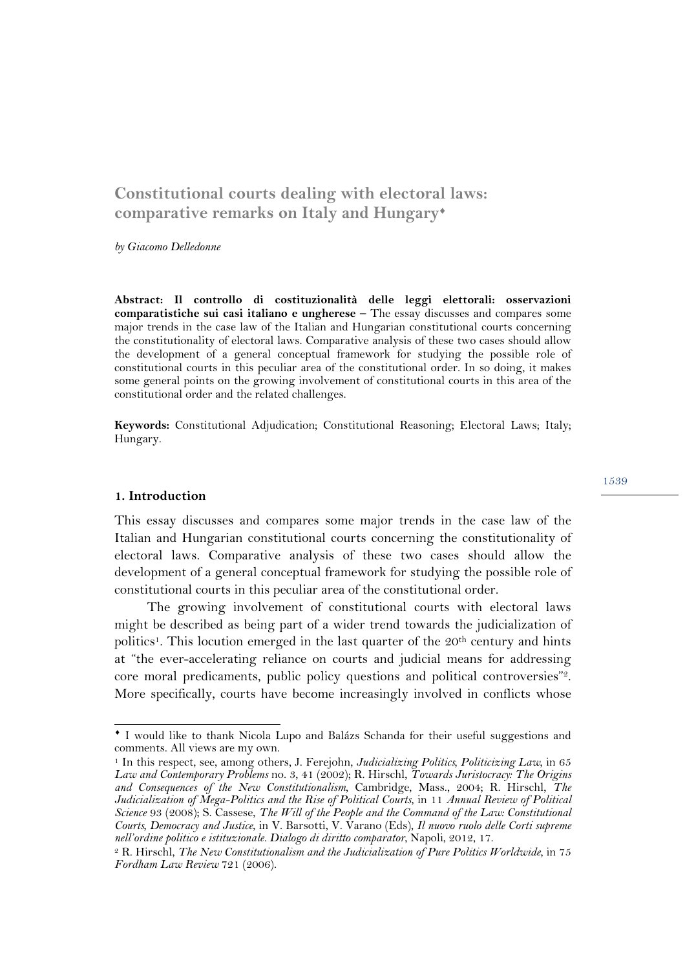# **Constitutional courts dealing with electoral laws: comparative remarks on Italy and Hungary**¨

*by Giacomo Delledonne*

**Abstract: Il controllo di costituzionalità delle leggi elettorali: osservazioni comparatistiche sui casi italiano e ungherese –** The essay discusses and compares some major trends in the case law of the Italian and Hungarian constitutional courts concerning the constitutionality of electoral laws. Comparative analysis of these two cases should allow the development of a general conceptual framework for studying the possible role of constitutional courts in this peculiar area of the constitutional order. In so doing, it makes some general points on the growing involvement of constitutional courts in this area of the constitutional order and the related challenges.

**Keywords:** Constitutional Adjudication; Constitutional Reasoning; Electoral Laws; Italy; Hungary.

#### **1. Introduction**

This essay discusses and compares some major trends in the case law of the Italian and Hungarian constitutional courts concerning the constitutionality of electoral laws. Comparative analysis of these two cases should allow the development of a general conceptual framework for studying the possible role of constitutional courts in this peculiar area of the constitutional order.

The growing involvement of constitutional courts with electoral laws might be described as being part of a wider trend towards the judicialization of politics<sup>1</sup>. This locution emerged in the last quarter of the  $20<sup>th</sup>$  century and hints at "the ever-accelerating reliance on courts and judicial means for addressing core moral predicaments, public policy questions and political controversies"2. More specifically, courts have become increasingly involved in conflicts whose

¨ I would like to thank Nicola Lupo and Balázs Schanda for their useful suggestions and comments. All views are my own.

<sup>1</sup> In this respect, see, among others, J. Ferejohn, *Judicializing Politics, Politicizing Law*, in 65 *Law and Contemporary Problems* no. 3, 41 (2002); R. Hirschl, *Towards Juristocracy: The Origins and Consequences of the New Constitutionalism*, Cambridge, Mass., 2004; R. Hirschl, *The Judicialization of Mega-Politics and the Rise of Political Courts*, in 11 *Annual Review of Political Science* 93 (2008); S. Cassese, *The Will of the People and the Command of the Law: Constitutional Courts, Democracy and Justice*, in V. Barsotti, V. Varano (Eds), *Il nuovo ruolo delle Corti supreme nell'ordine politico e istituzionale. Dialogo di diritto comparator*, Napoli, 2012, 17.

<sup>2</sup> R. Hirschl, *The New Constitutionalism and the Judicialization of Pure Politics Worldwide*, in 75 *Fordham Law Review* 721 (2006).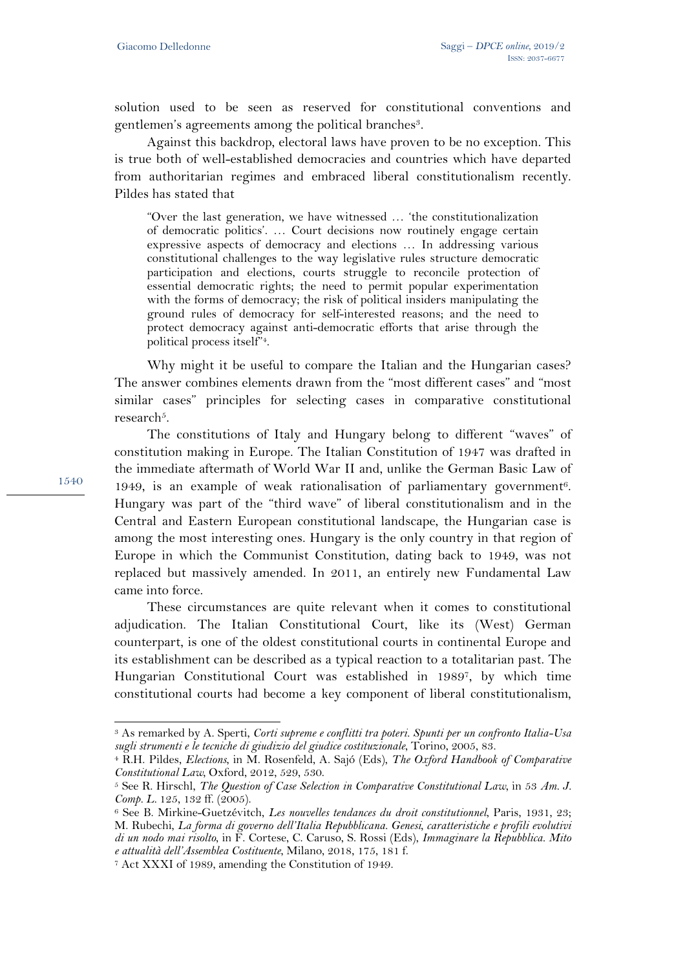solution used to be seen as reserved for constitutional conventions and gentlemen's agreements among the political branches<sup>3</sup>.

Against this backdrop, electoral laws have proven to be no exception. This is true both of well-established democracies and countries which have departed from authoritarian regimes and embraced liberal constitutionalism recently. Pildes has stated that

"Over the last generation, we have witnessed … 'the constitutionalization of democratic politics'. … Court decisions now routinely engage certain expressive aspects of democracy and elections … In addressing various constitutional challenges to the way legislative rules structure democratic participation and elections, courts struggle to reconcile protection of essential democratic rights; the need to permit popular experimentation with the forms of democracy; the risk of political insiders manipulating the ground rules of democracy for self-interested reasons; and the need to protect democracy against anti-democratic efforts that arise through the political process itself"4.

Why might it be useful to compare the Italian and the Hungarian cases? The answer combines elements drawn from the "most different cases" and "most similar cases" principles for selecting cases in comparative constitutional research<sup>5</sup>.

The constitutions of Italy and Hungary belong to different "waves" of constitution making in Europe. The Italian Constitution of 1947 was drafted in the immediate aftermath of World War II and, unlike the German Basic Law of 1949, is an example of weak rationalisation of parliamentary government<sup>6</sup>. Hungary was part of the "third wave" of liberal constitutionalism and in the Central and Eastern European constitutional landscape, the Hungarian case is among the most interesting ones. Hungary is the only country in that region of Europe in which the Communist Constitution, dating back to 1949, was not replaced but massively amended. In 2011, an entirely new Fundamental Law came into force.

These circumstances are quite relevant when it comes to constitutional adjudication. The Italian Constitutional Court, like its (West) German counterpart, is one of the oldest constitutional courts in continental Europe and its establishment can be described as a typical reaction to a totalitarian past. The Hungarian Constitutional Court was established in 19897, by which time constitutional courts had become a key component of liberal constitutionalism,

1540

l

<sup>3</sup> As remarked by A. Sperti, *Corti supreme e conflitti tra poteri. Spunti per un confronto Italia-Usa sugli strumenti e le tecniche di giudizio del giudice costituzionale*, Torino, 2005, 83.

<sup>4</sup> R.H. Pildes, *Elections*, in M. Rosenfeld, A. Sajó (Eds), *The Oxford Handbook of Comparative Constitutional Law*, Oxford, 2012, 529, 530.

<sup>5</sup> See R. Hirschl, *The Question of Case Selection in Comparative Constitutional Law*, in 53 *Am. J. Comp. L.* 125, 132 ff. (2005).

<sup>6</sup> See B. Mirkine-Guetzévitch, *Les nouvelles tendances du droit constitutionnel*, Paris, 1931, 23; M. Rubechi, *La forma di governo dell'Italia Repubblicana. Genesi, caratteristiche e profili evolutivi di un nodo mai risolto*, in F. Cortese, C. Caruso, S. Rossi (Eds), *Immaginare la Repubblica. Mito e attualità dell'Assemblea Costituente*, Milano, 2018, 175, 181 f.

<sup>7</sup> Act XXXI of 1989, amending the Constitution of 1949.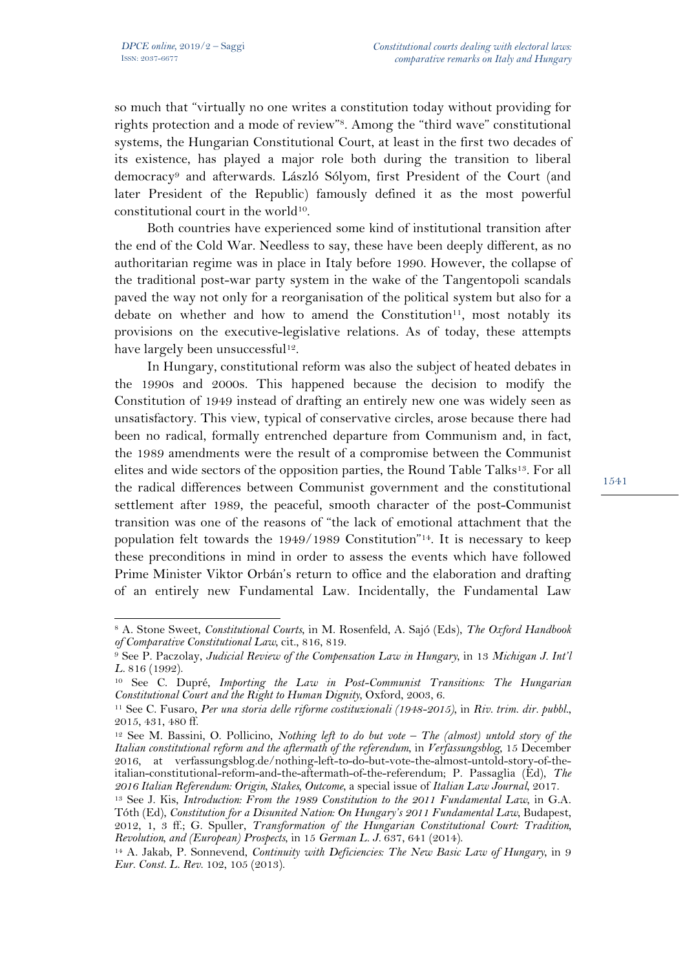$\overline{a}$ 

so much that "virtually no one writes a constitution today without providing for rights protection and a mode of review"8. Among the "third wave" constitutional systems, the Hungarian Constitutional Court, at least in the first two decades of its existence, has played a major role both during the transition to liberal democracy9 and afterwards. László Sólyom, first President of the Court (and later President of the Republic) famously defined it as the most powerful constitutional court in the world10.

Both countries have experienced some kind of institutional transition after the end of the Cold War. Needless to say, these have been deeply different, as no authoritarian regime was in place in Italy before 1990. However, the collapse of the traditional post-war party system in the wake of the Tangentopoli scandals paved the way not only for a reorganisation of the political system but also for a debate on whether and how to amend the Constitution<sup>11</sup>, most notably its provisions on the executive-legislative relations. As of today, these attempts have largely been unsuccessful<sup>12</sup>.

In Hungary, constitutional reform was also the subject of heated debates in the 1990s and 2000s. This happened because the decision to modify the Constitution of 1949 instead of drafting an entirely new one was widely seen as unsatisfactory. This view, typical of conservative circles, arose because there had been no radical, formally entrenched departure from Communism and, in fact, the 1989 amendments were the result of a compromise between the Communist elites and wide sectors of the opposition parties, the Round Table Talks<sup>13</sup>. For all the radical differences between Communist government and the constitutional settlement after 1989, the peaceful, smooth character of the post-Communist transition was one of the reasons of "the lack of emotional attachment that the population felt towards the 1949/1989 Constitution"14. It is necessary to keep these preconditions in mind in order to assess the events which have followed Prime Minister Viktor Orbán's return to office and the elaboration and drafting of an entirely new Fundamental Law. Incidentally, the Fundamental Law

<sup>8</sup> A. Stone Sweet, *Constitutional Courts*, in M. Rosenfeld, A. Sajó (Eds), *The Oxford Handbook of Comparative Constitutional Law*, cit., 816, 819.

<sup>9</sup> See P. Paczolay, *Judicial Review of the Compensation Law in Hungary*, in 13 *Michigan J. Int'l L.* 816 (1992).

<sup>10</sup> See C. Dupré, *Importing the Law in Post-Communist Transitions: The Hungarian Constitutional Court and the Right to Human Dignity*, Oxford, 2003, 6.

<sup>11</sup> See C. Fusaro, *Per una storia delle riforme costituzionali (1948-2015)*, in *Riv. trim. dir. pubbl.*, 2015, 431, 480 ff.

<sup>12</sup> See M. Bassini, O. Pollicino, *Nothing left to do but vote – The (almost) untold story of the Italian constitutional reform and the aftermath of the referendum*, in *Verfassungsblog*, 15 December 2016, at verfassungsblog.de/nothing-left-to-do-but-vote-the-almost-untold-story-of-theitalian-constitutional-reform-and-the-aftermath-of-the-referendum; P. Passaglia (Ed), *The 2016 Italian Referendum: Origin, Stakes, Outcome*, a special issue of *Italian Law Journal*, 2017.

<sup>13</sup> See J. Kis, *Introduction: From the 1989 Constitution to the 2011 Fundamental Law*, in G.A. Tóth (Ed), *Constitution for a Disunited Nation: On Hungary's 2011 Fundamental Law*, Budapest, 2012, 1, 3 ff.; G. Spuller, *Transformation of the Hungarian Constitutional Court: Tradition, Revolution, and (European) Prospects*, in 15 *German L. J.* 637, 641 (2014).

<sup>14</sup> A. Jakab, P. Sonnevend, *Continuity with Deficiencies: The New Basic Law of Hungary*, in 9 *Eur. Const. L. Rev.* 102, 105 (2013).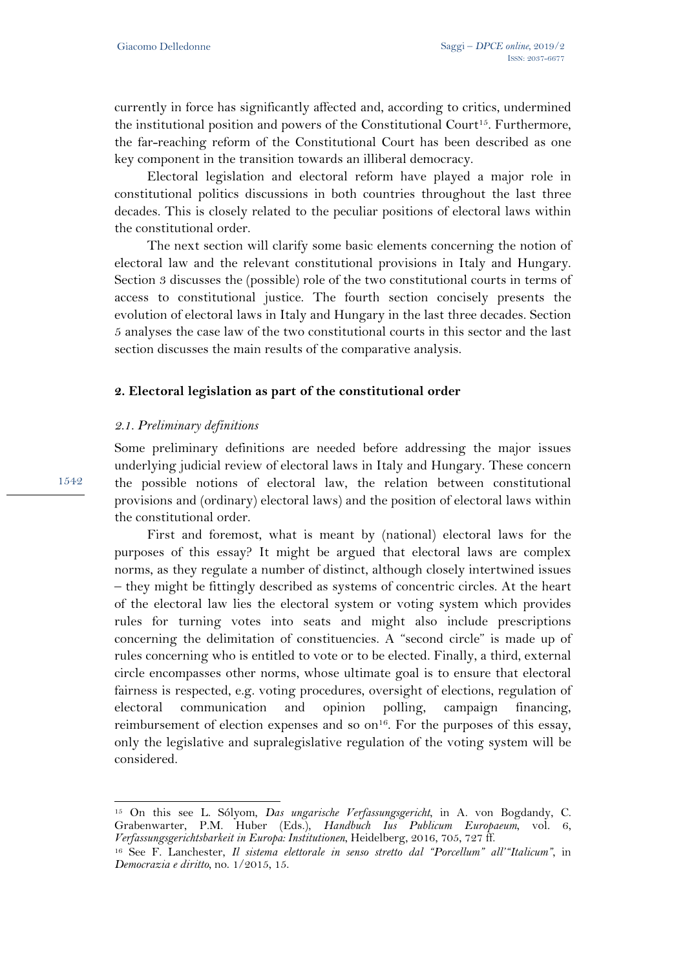currently in force has significantly affected and, according to critics, undermined the institutional position and powers of the Constitutional Court15. Furthermore, the far-reaching reform of the Constitutional Court has been described as one key component in the transition towards an illiberal democracy.

Electoral legislation and electoral reform have played a major role in constitutional politics discussions in both countries throughout the last three decades. This is closely related to the peculiar positions of electoral laws within the constitutional order.

The next section will clarify some basic elements concerning the notion of electoral law and the relevant constitutional provisions in Italy and Hungary. Section 3 discusses the (possible) role of the two constitutional courts in terms of access to constitutional justice. The fourth section concisely presents the evolution of electoral laws in Italy and Hungary in the last three decades. Section 5 analyses the case law of the two constitutional courts in this sector and the last section discusses the main results of the comparative analysis.

### **2. Electoral legislation as part of the constitutional order**

### *2.1. Preliminary definitions*

Some preliminary definitions are needed before addressing the major issues underlying judicial review of electoral laws in Italy and Hungary. These concern the possible notions of electoral law, the relation between constitutional provisions and (ordinary) electoral laws) and the position of electoral laws within the constitutional order.

First and foremost, what is meant by (national) electoral laws for the purposes of this essay? It might be argued that electoral laws are complex norms, as they regulate a number of distinct, although closely intertwined issues – they might be fittingly described as systems of concentric circles. At the heart of the electoral law lies the electoral system or voting system which provides rules for turning votes into seats and might also include prescriptions concerning the delimitation of constituencies. A "second circle" is made up of rules concerning who is entitled to vote or to be elected. Finally, a third, external circle encompasses other norms, whose ultimate goal is to ensure that electoral fairness is respected, e.g. voting procedures, oversight of elections, regulation of electoral communication and opinion polling, campaign financing, reimbursement of election expenses and so  $\text{on}^{16}$ . For the purposes of this essay, only the legislative and supralegislative regulation of the voting system will be considered.

1542

<sup>15</sup> On this see L. Sólyom, *Das ungarische Verfassungsgericht*, in A. von Bogdandy, C. Grabenwarter, P.M. Huber (Eds.), *Handbuch Ius Publicum Europaeum*, vol. 6, *Verfassungsgerichtsbarkeit in Europa: Institutionen*, Heidelberg, 2016, 705, 727 ff.

<sup>16</sup> See F. Lanchester, *Il sistema elettorale in senso stretto dal "Porcellum" all'"Italicum"*, in *Democrazia e diritto*, no. 1/2015, 15.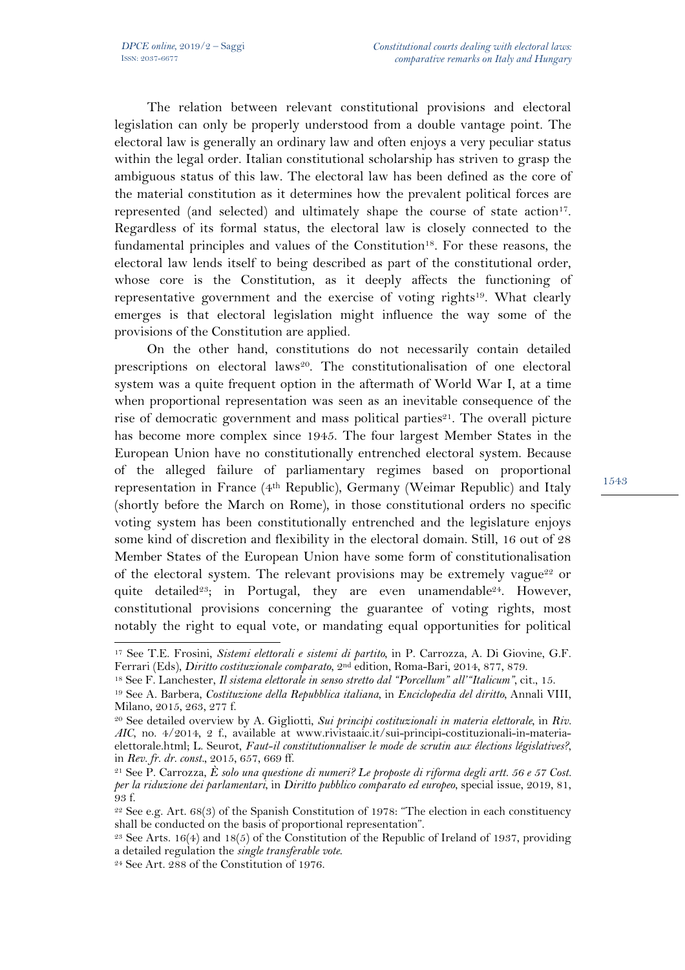The relation between relevant constitutional provisions and electoral legislation can only be properly understood from a double vantage point. The electoral law is generally an ordinary law and often enjoys a very peculiar status within the legal order. Italian constitutional scholarship has striven to grasp the ambiguous status of this law. The electoral law has been defined as the core of the material constitution as it determines how the prevalent political forces are represented (and selected) and ultimately shape the course of state action<sup>17</sup>. Regardless of its formal status, the electoral law is closely connected to the fundamental principles and values of the Constitution<sup>18</sup>. For these reasons, the electoral law lends itself to being described as part of the constitutional order, whose core is the Constitution, as it deeply affects the functioning of representative government and the exercise of voting rights<sup>19</sup>. What clearly emerges is that electoral legislation might influence the way some of the provisions of the Constitution are applied.

On the other hand, constitutions do not necessarily contain detailed prescriptions on electoral laws<sup>20</sup>. The constitutionalisation of one electoral system was a quite frequent option in the aftermath of World War I, at a time when proportional representation was seen as an inevitable consequence of the rise of democratic government and mass political parties<sup>21</sup>. The overall picture has become more complex since 1945. The four largest Member States in the European Union have no constitutionally entrenched electoral system. Because of the alleged failure of parliamentary regimes based on proportional representation in France (4th Republic), Germany (Weimar Republic) and Italy (shortly before the March on Rome), in those constitutional orders no specific voting system has been constitutionally entrenched and the legislature enjoys some kind of discretion and flexibility in the electoral domain. Still, 16 out of 28 Member States of the European Union have some form of constitutionalisation of the electoral system. The relevant provisions may be extremely vague<sup>22</sup> or quite detailed<sup>23</sup>; in Portugal, they are even unamendable<sup>24</sup>. However, constitutional provisions concerning the guarantee of voting rights, most notably the right to equal vote, or mandating equal opportunities for political

l

<sup>17</sup> See T.E. Frosini, *Sistemi elettorali e sistemi di partito*, in P. Carrozza, A. Di Giovine, G.F. Ferrari (Eds), *Diritto costituzionale comparato*, 2nd edition, Roma-Bari, 2014, 877, 879.

<sup>18</sup> See F. Lanchester, *Il sistema elettorale in senso stretto dal "Porcellum" all'"Italicum"*, cit., 15.

<sup>19</sup> See A. Barbera, *Costituzione della Repubblica italiana*, in *Enciclopedia del diritto*, Annali VIII, Milano, 2015, 263, 277 f.

<sup>20</sup> See detailed overview by A. Gigliotti, *Sui principi costituzionali in materia elettorale*, in *Riv. AIC*, no. 4/2014, 2 f., available at www.rivistaaic.it/sui-principi-costituzionali-in-materiaelettorale.html; L. Seurot, *Faut-il constitutionnaliser le mode de scrutin aux élections législatives?*, in *Rev. fr. dr. const.*, 2015, 657, 669 ff.

<sup>21</sup> See P. Carrozza, *È solo una questione di numeri? Le proposte di riforma degli artt. 56 e 57 Cost. per la riduzione dei parlamentari*, in *Diritto pubblico comparato ed europeo*, special issue, 2019, 81, 93 f.

 $22$  See e.g. Art. 68(3) of the Spanish Constitution of 1978: "The election in each constituency shall be conducted on the basis of proportional representation".

<sup>&</sup>lt;sup>23</sup> See Arts. 16(4) and 18(5) of the Constitution of the Republic of Ireland of 1937, providing a detailed regulation the *single transferable vote*.

<sup>24</sup> See Art. 288 of the Constitution of 1976.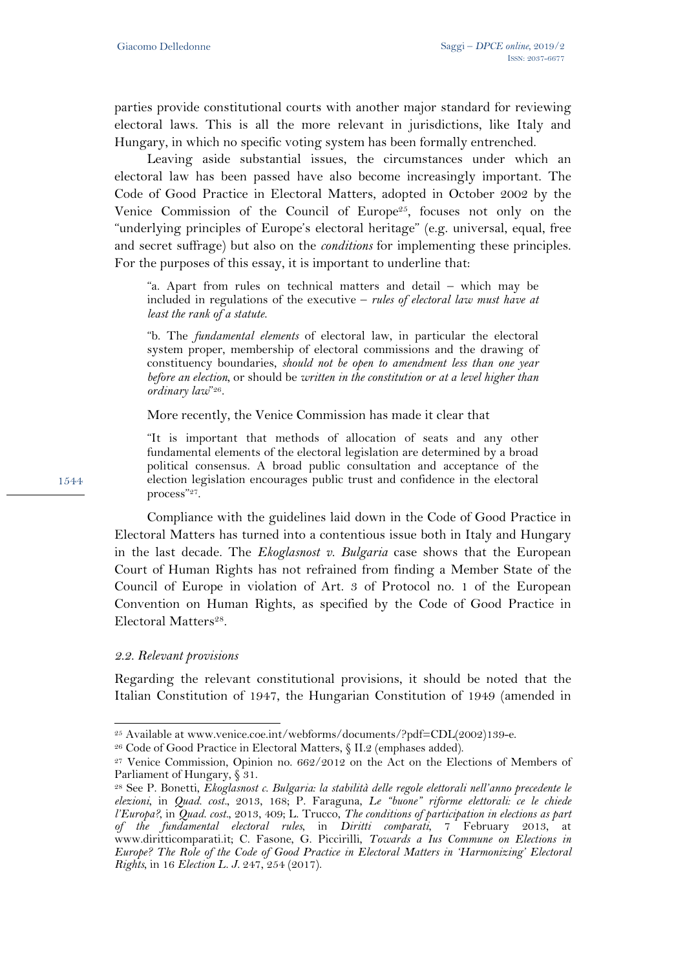parties provide constitutional courts with another major standard for reviewing electoral laws. This is all the more relevant in jurisdictions, like Italy and Hungary, in which no specific voting system has been formally entrenched.

Leaving aside substantial issues, the circumstances under which an electoral law has been passed have also become increasingly important. The Code of Good Practice in Electoral Matters, adopted in October 2002 by the Venice Commission of the Council of Europe<sup>25</sup>, focuses not only on the "underlying principles of Europe's electoral heritage" (e.g. universal, equal, free and secret suffrage) but also on the *conditions* for implementing these principles. For the purposes of this essay, it is important to underline that:

"a. Apart from rules on technical matters and detail – which may be included in regulations of the executive – *rules of electoral law must have at least the rank of a statute*.

"b. The *fundamental elements* of electoral law, in particular the electoral system proper, membership of electoral commissions and the drawing of constituency boundaries, *should not be open to amendment less than one year before an election*, or should be *written in the constitution or at a level higher than ordinary law*"26.

More recently, the Venice Commission has made it clear that

"It is important that methods of allocation of seats and any other fundamental elements of the electoral legislation are determined by a broad political consensus. A broad public consultation and acceptance of the election legislation encourages public trust and confidence in the electoral process"27.

Compliance with the guidelines laid down in the Code of Good Practice in Electoral Matters has turned into a contentious issue both in Italy and Hungary in the last decade. The *Ekoglasnost v. Bulgaria* case shows that the European Court of Human Rights has not refrained from finding a Member State of the Council of Europe in violation of Art. 3 of Protocol no. 1 of the European Convention on Human Rights, as specified by the Code of Good Practice in Electoral Matters<sup>28</sup>.

### *2.2. Relevant provisions*

l

Regarding the relevant constitutional provisions, it should be noted that the Italian Constitution of 1947, the Hungarian Constitution of 1949 (amended in

<sup>25</sup> Available at www.venice.coe.int/webforms/documents/?pdf=CDL(2002)139-e.

<sup>26</sup> Code of Good Practice in Electoral Matters, § II.2 (emphases added).

<sup>27</sup> Venice Commission, Opinion no. 662/2012 on the Act on the Elections of Members of Parliament of Hungary, § 31.

<sup>28</sup> See P. Bonetti, *Ekoglasnost c. Bulgaria: la stabilità delle regole elettorali nell'anno precedente le elezioni*, in *Quad. cost.*, 2013, 168; P. Faraguna, *Le "buone" riforme elettorali: ce le chiede l'Europa?*, in *Quad. cost.*, 2013, 409; L. Trucco, *The conditions of participation in elections as part of the fundamental electoral rules*, in *Diritti comparati*, 7 February 2013, at www.diritticomparati.it; C. Fasone, G. Piccirilli, *Towards a Ius Commune on Elections in Europe? The Role of the Code of Good Practice in Electoral Matters in 'Harmonizing' Electoral Rights*, in 16 *Election L. J.* 247, 254 (2017).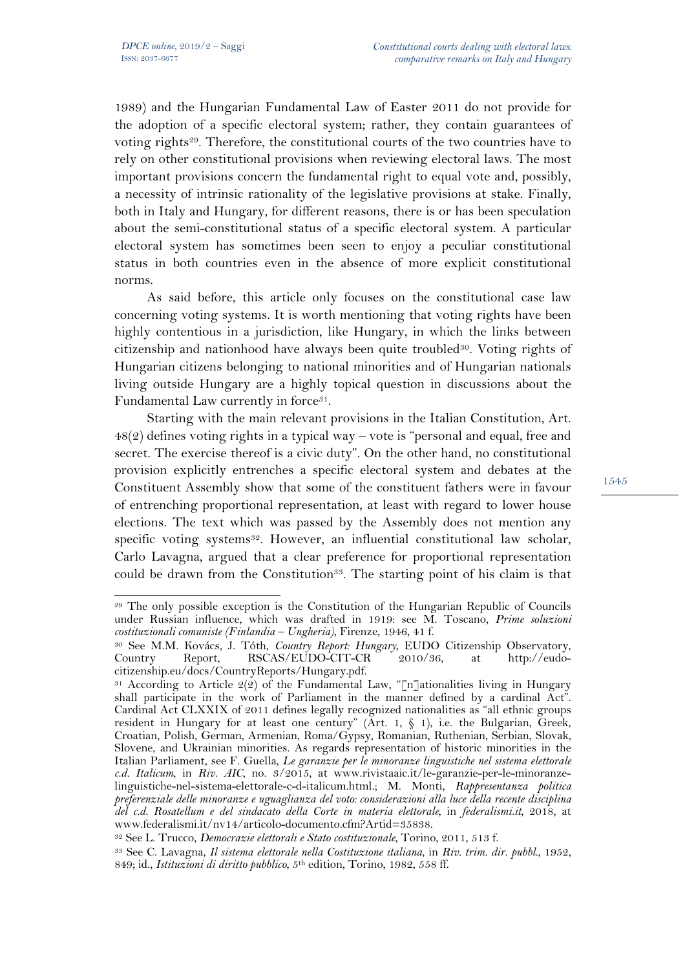1989) and the Hungarian Fundamental Law of Easter 2011 do not provide for the adoption of a specific electoral system; rather, they contain guarantees of voting rights<sup>29</sup>. Therefore, the constitutional courts of the two countries have to rely on other constitutional provisions when reviewing electoral laws. The most important provisions concern the fundamental right to equal vote and, possibly, a necessity of intrinsic rationality of the legislative provisions at stake. Finally, both in Italy and Hungary, for different reasons, there is or has been speculation about the semi-constitutional status of a specific electoral system. A particular electoral system has sometimes been seen to enjoy a peculiar constitutional status in both countries even in the absence of more explicit constitutional norms.

As said before, this article only focuses on the constitutional case law concerning voting systems. It is worth mentioning that voting rights have been highly contentious in a jurisdiction, like Hungary, in which the links between citizenship and nationhood have always been quite troubled<sup>30</sup>. Voting rights of Hungarian citizens belonging to national minorities and of Hungarian nationals living outside Hungary are a highly topical question in discussions about the Fundamental Law currently in force<sup>31</sup>.

Starting with the main relevant provisions in the Italian Constitution, Art. 48(2) defines voting rights in a typical way – vote is "personal and equal, free and secret. The exercise thereof is a civic duty". On the other hand, no constitutional provision explicitly entrenches a specific electoral system and debates at the Constituent Assembly show that some of the constituent fathers were in favour of entrenching proportional representation, at least with regard to lower house elections. The text which was passed by the Assembly does not mention any specific voting systems<sup>32</sup>. However, an influential constitutional law scholar, Carlo Lavagna, argued that a clear preference for proportional representation could be drawn from the Constitution<sup>33</sup>. The starting point of his claim is that

 $\overline{a}$ <sup>29</sup> The only possible exception is the Constitution of the Hungarian Republic of Councils under Russian influence, which was drafted in 1919: see M. Toscano, *Prime soluzioni costituzionali comuniste (Finlandia – Ungheria)*, Firenze, 1946, 41 f.

<sup>30</sup> See M.M. Kovács, J. Tóth, *Country Report: Hungary*, EUDO Citizenship Observatory, Country Report, RSCAS/EUDO-CIT-CR 2010/36, at http://eudocitizenship.eu/docs/CountryReports/Hungary.pdf.

<sup>&</sup>lt;sup>31</sup> According to Article  $2(2)$  of the Fundamental Law, "[n]ationalities living in Hungary shall participate in the work of Parliament in the manner defined by a cardinal Act". Cardinal Act CLXXIX of 2011 defines legally recognized nationalities as "all ethnic groups resident in Hungary for at least one century" (Art. 1, § 1), i.e. the Bulgarian, Greek, Croatian, Polish, German, Armenian, Roma/Gypsy, Romanian, Ruthenian, Serbian, Slovak, Slovene, and Ukrainian minorities. As regards representation of historic minorities in the Italian Parliament, see F. Guella, *Le garanzie per le minoranze linguistiche nel sistema elettorale c.d. Italicum*, in *Riv. AIC*, no. 3/2015, at www.rivistaaic.it/le-garanzie-per-le-minoranzelinguistiche-nel-sistema-elettorale-c-d-italicum.html.; M. Monti, *Rappresentanza politica preferenziale delle minoranze e uguaglianza del voto: considerazioni alla luce della recente disciplina del c.d. Rosatellum e del sindacato della Corte in materia elettorale*, in *federalismi.it*, 2018, at www.federalismi.it/nv14/articolo-documento.cfm?Artid=35838.

<sup>32</sup> See L. Trucco, *Democrazie elettorali e Stato costituzionale*, Torino, 2011, 513 f.

<sup>33</sup> See C. Lavagna, *Il sistema elettorale nella Costituzione italiana*, in *Riv. trim. dir. pubbl.*, 1952, 849; id., *Istituzioni di diritto pubblico*, 5th edition, Torino, 1982, 558 ff.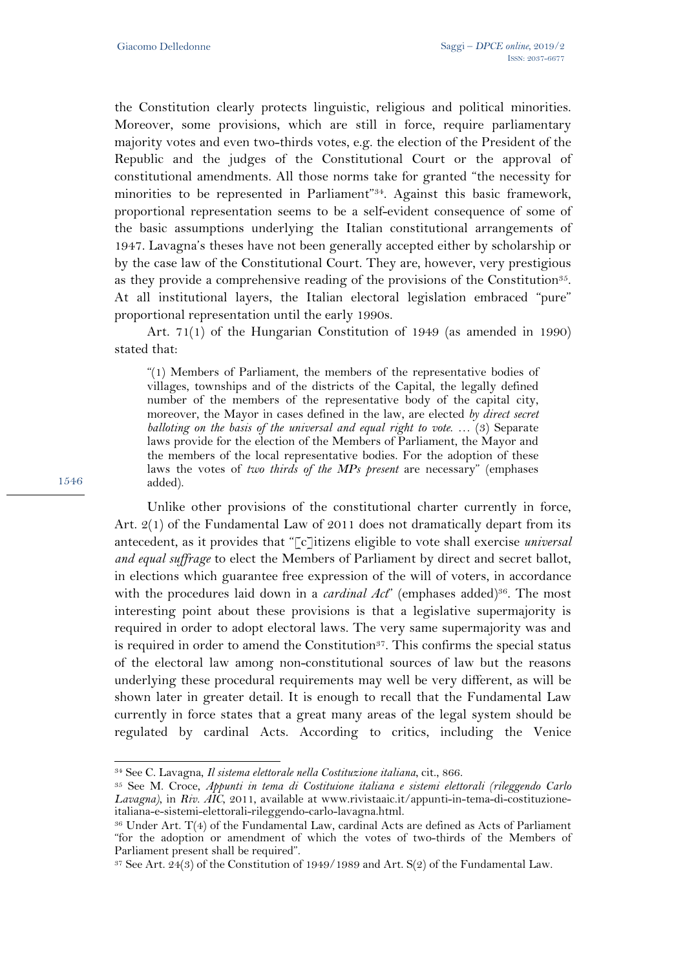the Constitution clearly protects linguistic, religious and political minorities. Moreover, some provisions, which are still in force, require parliamentary majority votes and even two-thirds votes, e.g. the election of the President of the Republic and the judges of the Constitutional Court or the approval of constitutional amendments. All those norms take for granted "the necessity for minorities to be represented in Parliament"34. Against this basic framework, proportional representation seems to be a self-evident consequence of some of the basic assumptions underlying the Italian constitutional arrangements of 1947. Lavagna's theses have not been generally accepted either by scholarship or by the case law of the Constitutional Court. They are, however, very prestigious as they provide a comprehensive reading of the provisions of the Constitution<sup>35</sup>. At all institutional layers, the Italian electoral legislation embraced "pure" proportional representation until the early 1990s.

Art. 71(1) of the Hungarian Constitution of 1949 (as amended in 1990) stated that:

"(1) Members of Parliament, the members of the representative bodies of villages, townships and of the districts of the Capital, the legally defined number of the members of the representative body of the capital city, moreover, the Mayor in cases defined in the law, are elected *by direct secret balloting on the basis of the universal and equal right to vote*. … (3) Separate laws provide for the election of the Members of Parliament, the Mayor and the members of the local representative bodies. For the adoption of these laws the votes of *two thirds of the MPs present* are necessary" (emphases added).

Unlike other provisions of the constitutional charter currently in force, Art.  $2(1)$  of the Fundamental Law of 2011 does not dramatically depart from its antecedent, as it provides that "[c]itizens eligible to vote shall exercise *universal and equal suffrage* to elect the Members of Parliament by direct and secret ballot, in elections which guarantee free expression of the will of voters, in accordance with the procedures laid down in a *cardinal Act*" (emphases added)<sup>36</sup>. The most interesting point about these provisions is that a legislative supermajority is required in order to adopt electoral laws. The very same supermajority was and is required in order to amend the Constitution<sup>37</sup>. This confirms the special status of the electoral law among non-constitutional sources of law but the reasons underlying these procedural requirements may well be very different, as will be shown later in greater detail. It is enough to recall that the Fundamental Law currently in force states that a great many areas of the legal system should be regulated by cardinal Acts. According to critics, including the Venice

1546

<sup>34</sup> See C. Lavagna, *Il sistema elettorale nella Costituzione italiana*, cit., 866.

<sup>35</sup> See M. Croce, *Appunti in tema di Costituione italiana e sistemi elettorali (rileggendo Carlo Lavagna)*, in *Riv. AIC*, 2011, available at www.rivistaaic.it/appunti-in-tema-di-costituzioneitaliana-e-sistemi-elettorali-rileggendo-carlo-lavagna.html.

<sup>36</sup> Under Art. T(4) of the Fundamental Law, cardinal Acts are defined as Acts of Parliament "for the adoption or amendment of which the votes of two-thirds of the Members of Parliament present shall be required".

 $37$  See Art.  $24(3)$  of the Constitution of 1949/1989 and Art. S(2) of the Fundamental Law.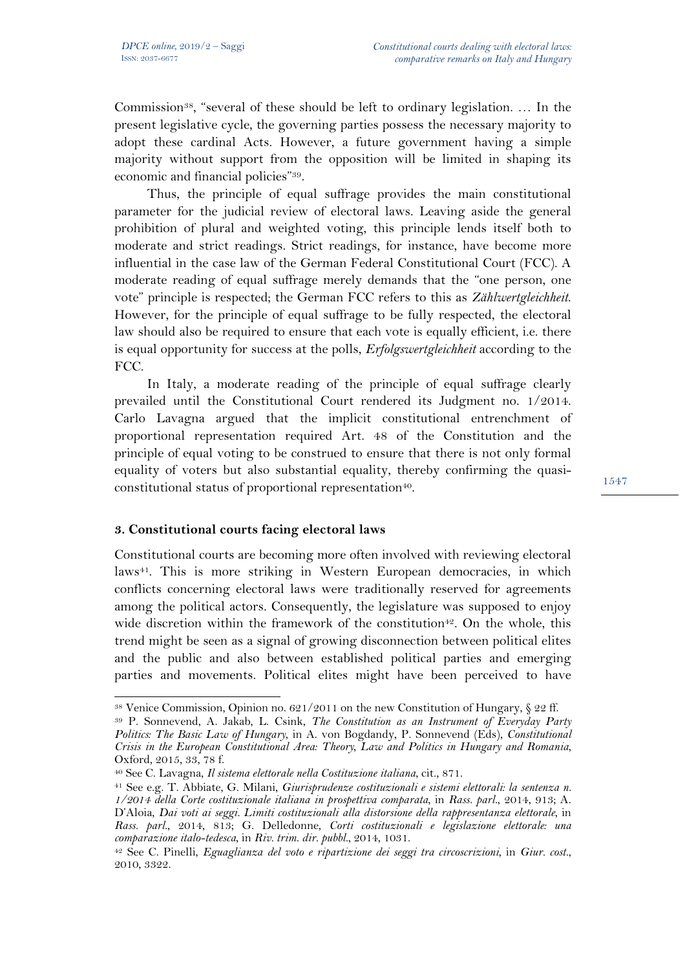Commission<sup>38</sup>, "several of these should be left to ordinary legislation. ... In the present legislative cycle, the governing parties possess the necessary majority to adopt these cardinal Acts. However, a future government having a simple majority without support from the opposition will be limited in shaping its economic and financial policies"39.

Thus, the principle of equal suffrage provides the main constitutional parameter for the judicial review of electoral laws. Leaving aside the general prohibition of plural and weighted voting, this principle lends itself both to moderate and strict readings. Strict readings, for instance, have become more influential in the case law of the German Federal Constitutional Court (FCC). A moderate reading of equal suffrage merely demands that the "one person, one vote" principle is respected; the German FCC refers to this as *Zählwertgleichheit*. However, for the principle of equal suffrage to be fully respected, the electoral law should also be required to ensure that each vote is equally efficient, i.e. there is equal opportunity for success at the polls, *Erfolgswertgleichheit* according to the FCC.

In Italy, a moderate reading of the principle of equal suffrage clearly prevailed until the Constitutional Court rendered its Judgment no. 1/2014. Carlo Lavagna argued that the implicit constitutional entrenchment of proportional representation required Art. 48 of the Constitution and the principle of equal voting to be construed to ensure that there is not only formal equality of voters but also substantial equality, thereby confirming the quasiconstitutional status of proportional representation<sup>40</sup>.

### **3. Constitutional courts facing electoral laws**

 $\overline{a}$ 

Constitutional courts are becoming more often involved with reviewing electoral laws<sup>41</sup>. This is more striking in Western European democracies, in which conflicts concerning electoral laws were traditionally reserved for agreements among the political actors. Consequently, the legislature was supposed to enjoy wide discretion within the framework of the constitution<sup>42</sup>. On the whole, this trend might be seen as a signal of growing disconnection between political elites and the public and also between established political parties and emerging parties and movements. Political elites might have been perceived to have

<sup>&</sup>lt;sup>38</sup> Venice Commission, Opinion no.  $621/2011$  on the new Constitution of Hungary,  $\S$  22 ff.

<sup>39</sup> P. Sonnevend, A. Jakab, L. Csink, *The Constitution as an Instrument of Everyday Party Politics: The Basic Law of Hungary*, in A. von Bogdandy, P. Sonnevend (Eds), *Constitutional Crisis in the European Constitutional Area: Theory, Law and Politics in Hungary and Romania*, Oxford, 2015, 33, 78 f.

<sup>40</sup> See C. Lavagna, *Il sistema elettorale nella Costituzione italiana*, cit., 871.

<sup>41</sup> See e.g. T. Abbiate, G. Milani, *Giurisprudenze costituzionali e sistemi elettorali: la sentenza n. 1/2014 della Corte costituzionale italiana in prospettiva comparata*, in *Rass. parl.*, 2014, 913; A. D'Aloia, *Dai voti ai seggi. Limiti costituzionali alla distorsione della rappresentanza elettorale*, in *Rass. parl.*, 2014, 813; G. Delledonne, *Corti costituzionali e legislazione elettorale: una comparazione italo-tedesca*, in *Riv. trim. dir. pubbl.*, 2014, 1031.

<sup>42</sup> See C. Pinelli, *Eguaglianza del voto e ripartizione dei seggi tra circoscrizioni*, in *Giur. cost.*, 2010, 3322.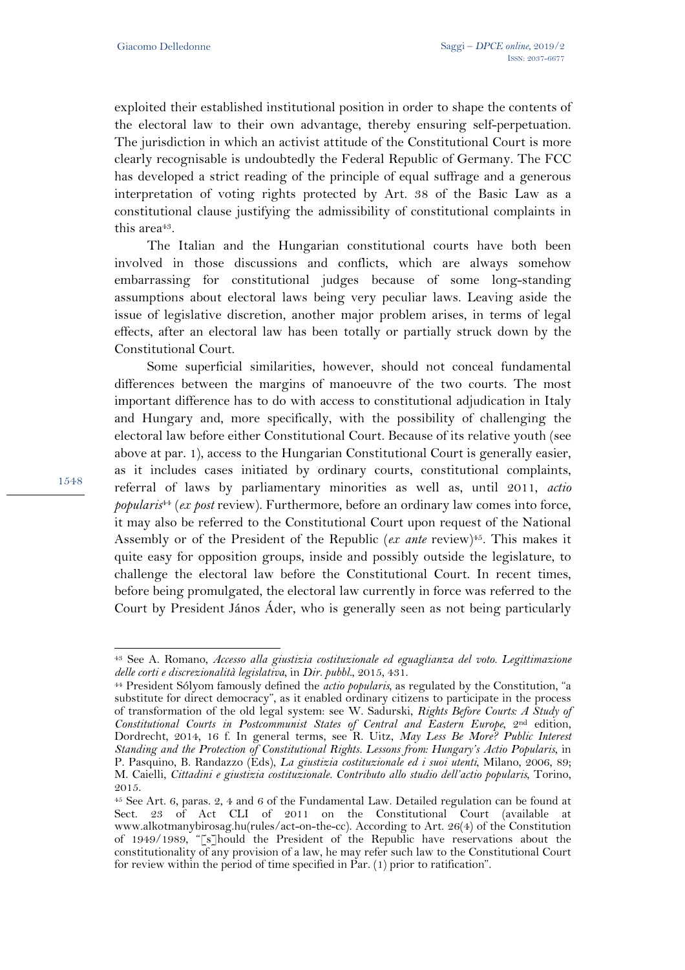exploited their established institutional position in order to shape the contents of the electoral law to their own advantage, thereby ensuring self-perpetuation. The jurisdiction in which an activist attitude of the Constitutional Court is more clearly recognisable is undoubtedly the Federal Republic of Germany. The FCC has developed a strict reading of the principle of equal suffrage and a generous interpretation of voting rights protected by Art. 38 of the Basic Law as a constitutional clause justifying the admissibility of constitutional complaints in this area<sup>43</sup>.

The Italian and the Hungarian constitutional courts have both been involved in those discussions and conflicts, which are always somehow embarrassing for constitutional judges because of some long-standing assumptions about electoral laws being very peculiar laws. Leaving aside the issue of legislative discretion, another major problem arises, in terms of legal effects, after an electoral law has been totally or partially struck down by the Constitutional Court.

Some superficial similarities, however, should not conceal fundamental differences between the margins of manoeuvre of the two courts. The most important difference has to do with access to constitutional adjudication in Italy and Hungary and, more specifically, with the possibility of challenging the electoral law before either Constitutional Court. Because of its relative youth (see above at par. 1), access to the Hungarian Constitutional Court is generally easier, as it includes cases initiated by ordinary courts, constitutional complaints, referral of laws by parliamentary minorities as well as, until 2011, *actio popularis*<sup>44</sup> (*ex post* review). Furthermore, before an ordinary law comes into force, it may also be referred to the Constitutional Court upon request of the National Assembly or of the President of the Republic (*ex ante* review)<sup>45</sup>. This makes it quite easy for opposition groups, inside and possibly outside the legislature, to challenge the electoral law before the Constitutional Court. In recent times, before being promulgated, the electoral law currently in force was referred to the Court by President János Áder, who is generally seen as not being particularly

 $\overline{a}$ <sup>43</sup> See A. Romano, *Accesso alla giustizia costituzionale ed eguaglianza del voto. Legittimazione delle corti e discrezionalità legislativa*, in *Dir. pubbl.*, 2015, 431.

<sup>44</sup> President Sólyom famously defined the *actio popularis*, as regulated by the Constitution, "a substitute for direct democracy", as it enabled ordinary citizens to participate in the process of transformation of the old legal system: see W. Sadurski, *Rights Before Courts: A Study of Constitutional Courts in Postcommunist States of Central and Eastern Europe*, 2nd edition, Dordrecht, 2014, 16 f. In general terms, see R. Uitz, *May Less Be More? Public Interest Standing and the Protection of Constitutional Rights. Lessons from: Hungary's Actio Popularis*, in P. Pasquino, B. Randazzo (Eds), *La giustizia costituzionale ed i suoi utenti*, Milano, 2006, 89; M. Caielli, *Cittadini e giustizia costituzionale. Contributo allo studio dell'actio popularis*, Torino, 2015.

<sup>45</sup> See Art. 6, paras. 2, 4 and 6 of the Fundamental Law. Detailed regulation can be found at Sect. 23 of Act CLI of 2011 on the Constitutional Court (available at www.alkotmanybirosag.hu(rules/act-on-the-cc). According to Art. 26(4) of the Constitution of 1949/1989, "[s]hould the President of the Republic have reservations about the constitutionality of any provision of a law, he may refer such law to the Constitutional Court for review within the period of time specified in Par. (1) prior to ratification".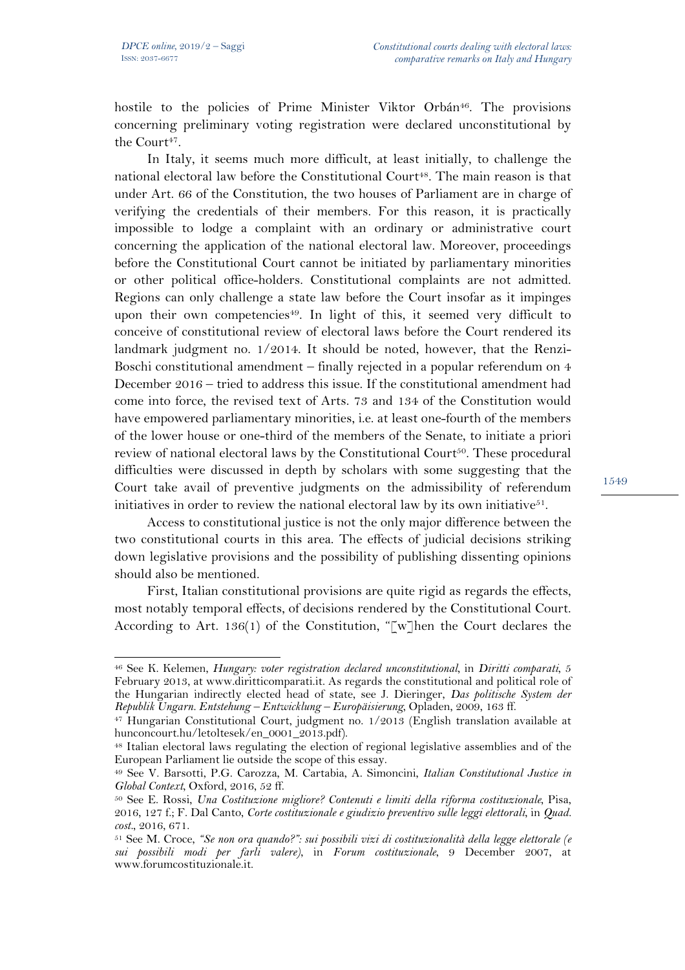$\overline{a}$ 

hostile to the policies of Prime Minister Viktor Orbán<sup>46</sup>. The provisions concerning preliminary voting registration were declared unconstitutional by the Court<sup> $47$ </sup>.

In Italy, it seems much more difficult, at least initially, to challenge the national electoral law before the Constitutional Court<sup>48</sup>. The main reason is that under Art. 66 of the Constitution, the two houses of Parliament are in charge of verifying the credentials of their members. For this reason, it is practically impossible to lodge a complaint with an ordinary or administrative court concerning the application of the national electoral law. Moreover, proceedings before the Constitutional Court cannot be initiated by parliamentary minorities or other political office-holders. Constitutional complaints are not admitted. Regions can only challenge a state law before the Court insofar as it impinges upon their own competencies<sup>49</sup>. In light of this, it seemed very difficult to conceive of constitutional review of electoral laws before the Court rendered its landmark judgment no.  $1/2014$ . It should be noted, however, that the Renzi-Boschi constitutional amendment – finally rejected in a popular referendum on 4 December 2016 – tried to address this issue. If the constitutional amendment had come into force, the revised text of Arts. 73 and 134 of the Constitution would have empowered parliamentary minorities, i.e. at least one-fourth of the members of the lower house or one-third of the members of the Senate, to initiate a priori review of national electoral laws by the Constitutional Court<sup>50</sup>. These procedural difficulties were discussed in depth by scholars with some suggesting that the Court take avail of preventive judgments on the admissibility of referendum initiatives in order to review the national electoral law by its own initiative<sup>51</sup>.

Access to constitutional justice is not the only major difference between the two constitutional courts in this area. The effects of judicial decisions striking down legislative provisions and the possibility of publishing dissenting opinions should also be mentioned.

First, Italian constitutional provisions are quite rigid as regards the effects, most notably temporal effects, of decisions rendered by the Constitutional Court. According to Art. 136(1) of the Constitution, "[w]hen the Court declares the

<sup>46</sup> See K. Kelemen, *Hungary: voter registration declared unconstitutional*, in *Diritti comparati*, 5 February 2013, at www.diritticomparati.it. As regards the constitutional and political role of the Hungarian indirectly elected head of state, see J. Dieringer, *Das politische System der Republik Ungarn. Entstehung – Entwicklung – Europäisierung*, Opladen, 2009, 163 ff.

<sup>47</sup> Hungarian Constitutional Court, judgment no. 1/2013 (English translation available at hunconcourt.hu/letoltesek/en\_0001\_2013.pdf).

<sup>48</sup> Italian electoral laws regulating the election of regional legislative assemblies and of the European Parliament lie outside the scope of this essay.

<sup>49</sup> See V. Barsotti, P.G. Carozza, M. Cartabia, A. Simoncini, *Italian Constitutional Justice in Global Context*, Oxford, 2016, 52 ff.

<sup>50</sup> See E. Rossi, *Una Costituzione migliore? Contenuti e limiti della riforma costituzionale*, Pisa, 2016, 127 f.; F. Dal Canto, *Corte costituzionale e giudizio preventivo sulle leggi elettorali*, in *Quad. cost.*, 2016, 671.

<sup>51</sup> See M. Croce, *"Se non ora quando?": sui possibili vizi di costituzionalità della legge elettorale (e sui possibili modi per farli valere)*, in *Forum costituzionale*, 9 December 2007, at www.forumcostituzionale.it.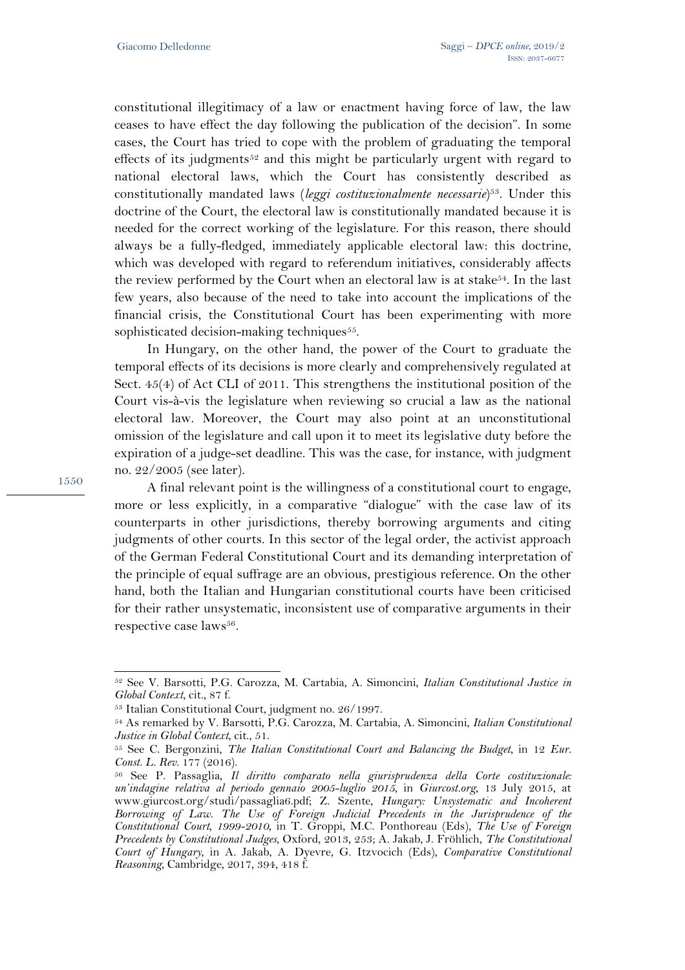constitutional illegitimacy of a law or enactment having force of law, the law ceases to have effect the day following the publication of the decision". In some cases, the Court has tried to cope with the problem of graduating the temporal effects of its judgments<sup>52</sup> and this might be particularly urgent with regard to national electoral laws, which the Court has consistently described as constitutionally mandated laws (*leggi costituzionalmente necessarie*)53. Under this doctrine of the Court, the electoral law is constitutionally mandated because it is needed for the correct working of the legislature. For this reason, there should always be a fully-fledged, immediately applicable electoral law: this doctrine, which was developed with regard to referendum initiatives, considerably affects the review performed by the Court when an electoral law is at stake<sup>54</sup>. In the last few years, also because of the need to take into account the implications of the financial crisis, the Constitutional Court has been experimenting with more sophisticated decision-making techniques<sup>55</sup>.

In Hungary, on the other hand, the power of the Court to graduate the temporal effects of its decisions is more clearly and comprehensively regulated at Sect. 45(4) of Act CLI of 2011. This strengthens the institutional position of the Court vis-à-vis the legislature when reviewing so crucial a law as the national electoral law. Moreover, the Court may also point at an unconstitutional omission of the legislature and call upon it to meet its legislative duty before the expiration of a judge-set deadline. This was the case, for instance, with judgment no. 22/2005 (see later).

A final relevant point is the willingness of a constitutional court to engage, more or less explicitly, in a comparative "dialogue" with the case law of its counterparts in other jurisdictions, thereby borrowing arguments and citing judgments of other courts. In this sector of the legal order, the activist approach of the German Federal Constitutional Court and its demanding interpretation of the principle of equal suffrage are an obvious, prestigious reference. On the other hand, both the Italian and Hungarian constitutional courts have been criticised for their rather unsystematic, inconsistent use of comparative arguments in their respective case laws<sup>56</sup>.

 $\overline{a}$ <sup>52</sup> See V. Barsotti, P.G. Carozza, M. Cartabia, A. Simoncini, *Italian Constitutional Justice in Global Context*, cit., 87 f.

<sup>53</sup> Italian Constitutional Court, judgment no. 26/1997.

<sup>54</sup> As remarked by V. Barsotti, P.G. Carozza, M. Cartabia, A. Simoncini, *Italian Constitutional Justice in Global Context*, cit., 51.

<sup>55</sup> See C. Bergonzini, *The Italian Constitutional Court and Balancing the Budget*, in 12 *Eur. Const. L. Rev.* 177 (2016).

<sup>56</sup> See P. Passaglia, *Il diritto comparato nella giurisprudenza della Corte costituzionale: un'indagine relativa al periodo gennaio 2005-luglio 2015*, in *Giurcost.org*, 13 July 2015, at www.giurcost.org/studi/passaglia6.pdf; Z. Szente, *Hungary: Unsystematic and Incoherent Borrowing of Law. The Use of Foreign Judicial Precedents in the Jurisprudence of the Constitutional Court, 1999-2010*, in T. Groppi, M.C. Ponthoreau (Eds), *The Use of Foreign Precedents by Constitutional Judges*, Oxford, 2013, 253; A. Jakab, J. Fröhlich, *The Constitutional Court of Hungary*, in A. Jakab, A. Dyevre, G. Itzvocich (Eds), *Comparative Constitutional Reasoning*, Cambridge, 2017, 394, 418 f.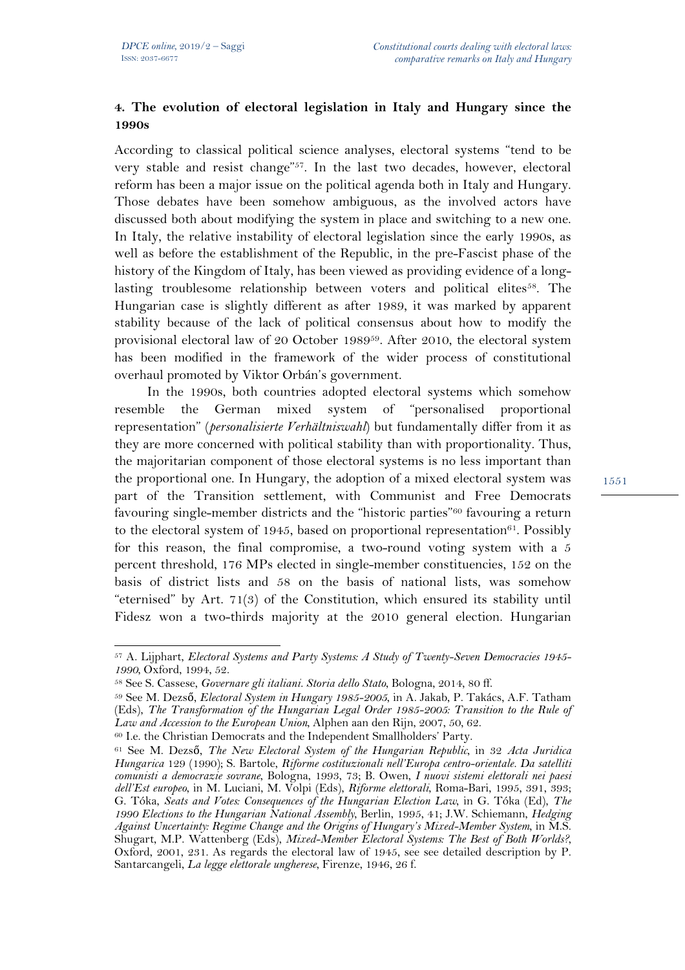## **4. The evolution of electoral legislation in Italy and Hungary since the 1990s**

According to classical political science analyses, electoral systems "tend to be very stable and resist change"57. In the last two decades, however, electoral reform has been a major issue on the political agenda both in Italy and Hungary. Those debates have been somehow ambiguous, as the involved actors have discussed both about modifying the system in place and switching to a new one. In Italy, the relative instability of electoral legislation since the early 1990s, as well as before the establishment of the Republic, in the pre-Fascist phase of the history of the Kingdom of Italy, has been viewed as providing evidence of a longlasting troublesome relationship between voters and political elites<sup>58</sup>. The Hungarian case is slightly different as after 1989, it was marked by apparent stability because of the lack of political consensus about how to modify the provisional electoral law of 20 October 198959. After 2010, the electoral system has been modified in the framework of the wider process of constitutional overhaul promoted by Viktor Orbán's government.

In the 1990s, both countries adopted electoral systems which somehow resemble the German mixed system of "personalised proportional representation" (*personalisierte Verhältniswahl*) but fundamentally differ from it as they are more concerned with political stability than with proportionality. Thus, the majoritarian component of those electoral systems is no less important than the proportional one. In Hungary, the adoption of a mixed electoral system was part of the Transition settlement, with Communist and Free Democrats favouring single-member districts and the "historic parties"<sup>60</sup> favouring a return to the electoral system of 1945, based on proportional representation $61$ . Possibly for this reason, the final compromise, a two-round voting system with a 5 percent threshold, 176 MPs elected in single-member constituencies, 152 on the basis of district lists and 58 on the basis of national lists, was somehow "eternised" by Art. 71(3) of the Constitution, which ensured its stability until Fidesz won a two-thirds majority at the 2010 general election. Hungarian

 $\overline{a}$ <sup>57</sup> A. Lijphart, *Electoral Systems and Party Systems: A Study of Twenty-Seven Democracies 1945- 1990*, Oxford, 1994, 52.

<sup>58</sup> See S. Cassese, *Governare gli italiani. Storia dello Stato*, Bologna, 2014, 80 ff.

<sup>59</sup> See M. Dezső, *Electoral System in Hungary 1985-2005*, in A. Jakab, P. Takács, A.F. Tatham (Eds), *The Transformation of the Hungarian Legal Order 1985-2005: Transition to the Rule of Law and Accession to the European Union*, Alphen aan den Rijn, 2007, 50, 62.

<sup>60</sup> I.e. the Christian Democrats and the Independent Smallholders' Party.

<sup>61</sup> See M. Dezső, *The New Electoral System of the Hungarian Republic*, in 32 *Acta Juridica Hungarica* 129 (1990); S. Bartole, *Riforme costituzionali nell'Europa centro-orientale. Da satelliti comunisti a democrazie sovrane*, Bologna, 1993, 73; B. Owen, *I nuovi sistemi elettorali nei paesi dell'Est europeo*, in M. Luciani, M. Volpi (Eds), *Riforme elettorali*, Roma-Bari, 1995, 391, 393; G. Tóka, *Seats and Votes: Consequences of the Hungarian Election Law*, in G. Tóka (Ed), *The 1990 Elections to the Hungarian National Assembly*, Berlin, 1995, 41; J.W. Schiemann, *Hedging Against Uncertainty: Regime Change and the Origins of Hungary's Mixed-Member System*, in M.S. Shugart, M.P. Wattenberg (Eds), *Mixed-Member Electoral Systems: The Best of Both Worlds?*, Oxford, 2001, 231. As regards the electoral law of 1945, see see detailed description by P. Santarcangeli, *La legge elettorale ungherese*, Firenze, 1946, 26 f.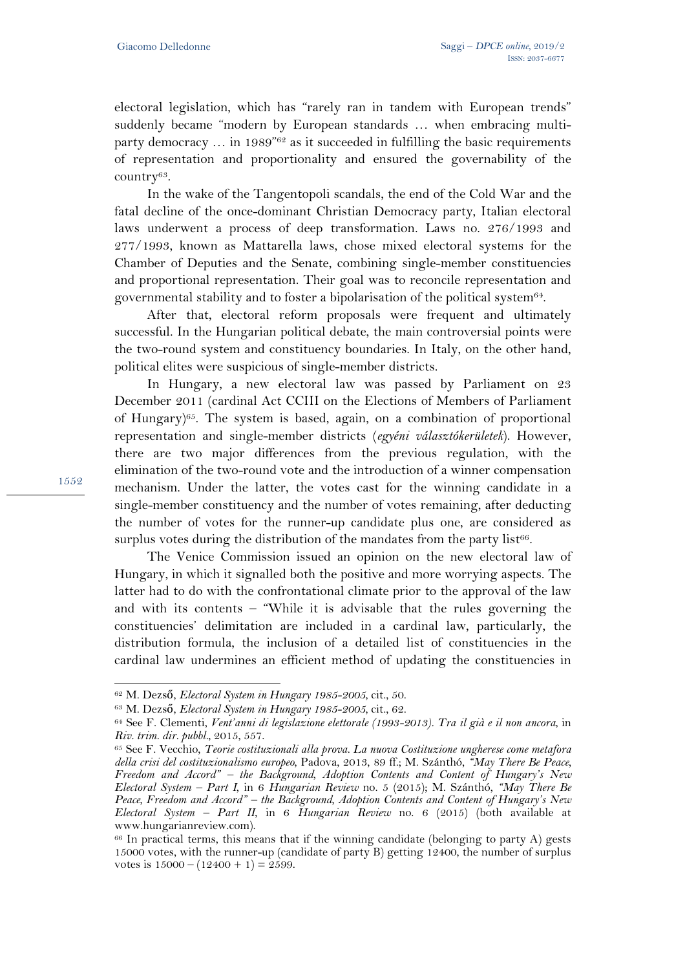electoral legislation, which has "rarely ran in tandem with European trends" suddenly became "modern by European standards … when embracing multiparty democracy ... in 1989"<sup>62</sup> as it succeeded in fulfilling the basic requirements of representation and proportionality and ensured the governability of the country63.

In the wake of the Tangentopoli scandals, the end of the Cold War and the fatal decline of the once-dominant Christian Democracy party, Italian electoral laws underwent a process of deep transformation. Laws no. 276/1993 and 277/1993, known as Mattarella laws, chose mixed electoral systems for the Chamber of Deputies and the Senate, combining single-member constituencies and proportional representation. Their goal was to reconcile representation and governmental stability and to foster a bipolarisation of the political system64.

After that, electoral reform proposals were frequent and ultimately successful. In the Hungarian political debate, the main controversial points were the two-round system and constituency boundaries. In Italy, on the other hand, political elites were suspicious of single-member districts.

In Hungary, a new electoral law was passed by Parliament on 23 December 2011 (cardinal Act CCIII on the Elections of Members of Parliament of Hungary)<sup>65</sup>. The system is based, again, on a combination of proportional representation and single-member districts (*egyéni választókerületek*). However, there are two major differences from the previous regulation, with the elimination of the two-round vote and the introduction of a winner compensation mechanism. Under the latter, the votes cast for the winning candidate in a single-member constituency and the number of votes remaining, after deducting the number of votes for the runner-up candidate plus one, are considered as surplus votes during the distribution of the mandates from the party list<sup>66</sup>.

The Venice Commission issued an opinion on the new electoral law of Hungary, in which it signalled both the positive and more worrying aspects. The latter had to do with the confrontational climate prior to the approval of the law and with its contents – "While it is advisable that the rules governing the constituencies' delimitation are included in a cardinal law, particularly, the distribution formula, the inclusion of a detailed list of constituencies in the cardinal law undermines an efficient method of updating the constituencies in

1552

<sup>62</sup> M. Dezső, *Electoral System in Hungary 1985-2005*, cit., 50.

<sup>63</sup> M. Dezső, *Electoral System in Hungary 1985-2005*, cit., 62.

<sup>64</sup> See F. Clementi, *Vent'anni di legislazione elettorale (1993-2013). Tra il già e il non ancora*, in *Riv. trim. dir. pubbl.*, 2015, 557.

<sup>65</sup> See F. Vecchio, *Teorie costituzionali alla prova. La nuova Costituzione ungherese come metafora della crisi del costituzionalismo europeo*, Padova, 2013, 89 ff.; M. Szánthó, *"May There Be Peace, Freedom and Accord" – the Background, Adoption Contents and Content of Hungary's New Electoral System – Part I*, in 6 *Hungarian Review* no. 5 (2015); M. Szánthó, *"May There Be Peace, Freedom and Accord" – the Background, Adoption Contents and Content of Hungary's New Electoral System – Part II*, in 6 *Hungarian Review* no. 6 (2015) (both available at www.hungarianreview.com).

<sup>66</sup> In practical terms, this means that if the winning candidate (belonging to party A) gests 15000 votes, with the runner-up (candidate of party B) getting 12400, the number of surplus votes is  $15000 - (12400 + 1) = 2599$ .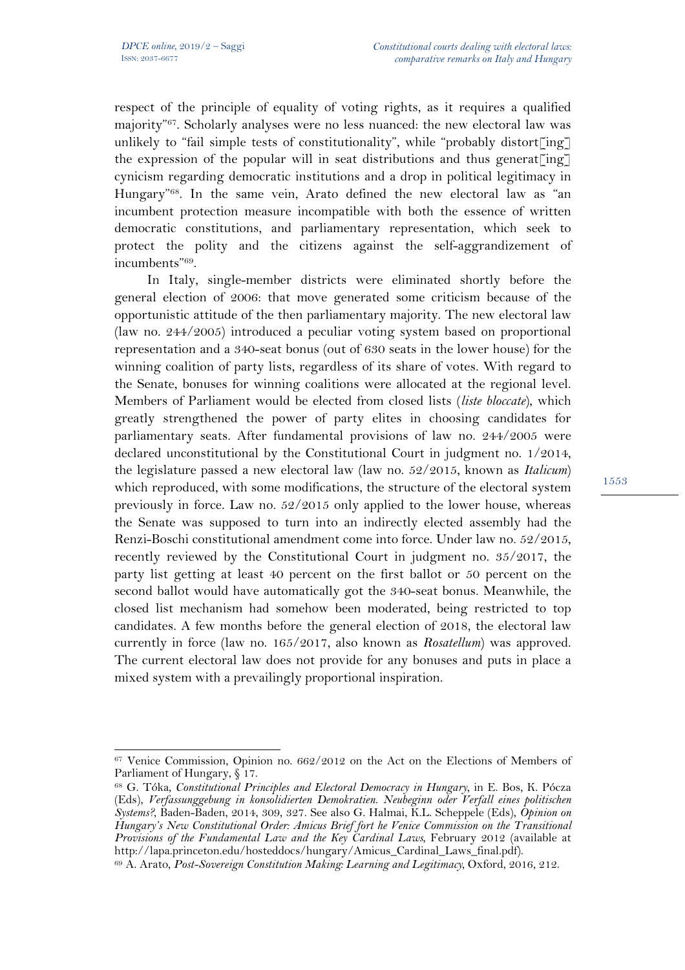respect of the principle of equality of voting rights, as it requires a qualified majority"67. Scholarly analyses were no less nuanced: the new electoral law was unlikely to "fail simple tests of constitutionality", while "probably distort[ing] the expression of the popular will in seat distributions and thus generat  $\lceil \text{ing} \rceil$ cynicism regarding democratic institutions and a drop in political legitimacy in Hungary"68. In the same vein, Arato defined the new electoral law as "an incumbent protection measure incompatible with both the essence of written democratic constitutions, and parliamentary representation, which seek to protect the polity and the citizens against the self-aggrandizement of incumbents"69.

In Italy, single-member districts were eliminated shortly before the general election of 2006: that move generated some criticism because of the opportunistic attitude of the then parliamentary majority. The new electoral law (law no. 244/2005) introduced a peculiar voting system based on proportional representation and a 340-seat bonus (out of 630 seats in the lower house) for the winning coalition of party lists, regardless of its share of votes. With regard to the Senate, bonuses for winning coalitions were allocated at the regional level. Members of Parliament would be elected from closed lists (*liste bloccate*), which greatly strengthened the power of party elites in choosing candidates for parliamentary seats. After fundamental provisions of law no. 244/2005 were declared unconstitutional by the Constitutional Court in judgment no. 1/2014, the legislature passed a new electoral law (law no. 52/2015, known as *Italicum*) which reproduced, with some modifications, the structure of the electoral system previously in force. Law no. 52/2015 only applied to the lower house, whereas the Senate was supposed to turn into an indirectly elected assembly had the Renzi-Boschi constitutional amendment come into force. Under law no. 52/2015, recently reviewed by the Constitutional Court in judgment no. 35/2017, the party list getting at least 40 percent on the first ballot or 50 percent on the second ballot would have automatically got the 340-seat bonus. Meanwhile, the closed list mechanism had somehow been moderated, being restricted to top candidates. A few months before the general election of 2018, the electoral law currently in force (law no. 165/2017, also known as *Rosatellum*) was approved. The current electoral law does not provide for any bonuses and puts in place a mixed system with a prevailingly proportional inspiration.

l <sup>67</sup> Venice Commission, Opinion no. 662/2012 on the Act on the Elections of Members of Parliament of Hungary, § 17.

<sup>68</sup> G. Tóka, *Constitutional Principles and Electoral Democracy in Hungary*, in E. Bos, K. Pócza (Eds), *Verfassunggebung in konsolidierten Demokratien. Neubeginn oder Verfall eines politischen Systems?*, Baden-Baden, 2014, 309, 327. See also G. Halmai, K.L. Scheppele (Eds), *Opinion on Hungary's New Constitutional Order: Amicus Brief fort he Venice Commission on the Transitional Provisions of the Fundamental Law and the Key Cardinal Laws*, February 2012 (available at http://lapa.princeton.edu/hosteddocs/hungary/Amicus\_Cardinal\_Laws\_final.pdf).

<sup>69</sup> A. Arato, *Post-Sovereign Constitution Making: Learning and Legitimacy*, Oxford, 2016, 212.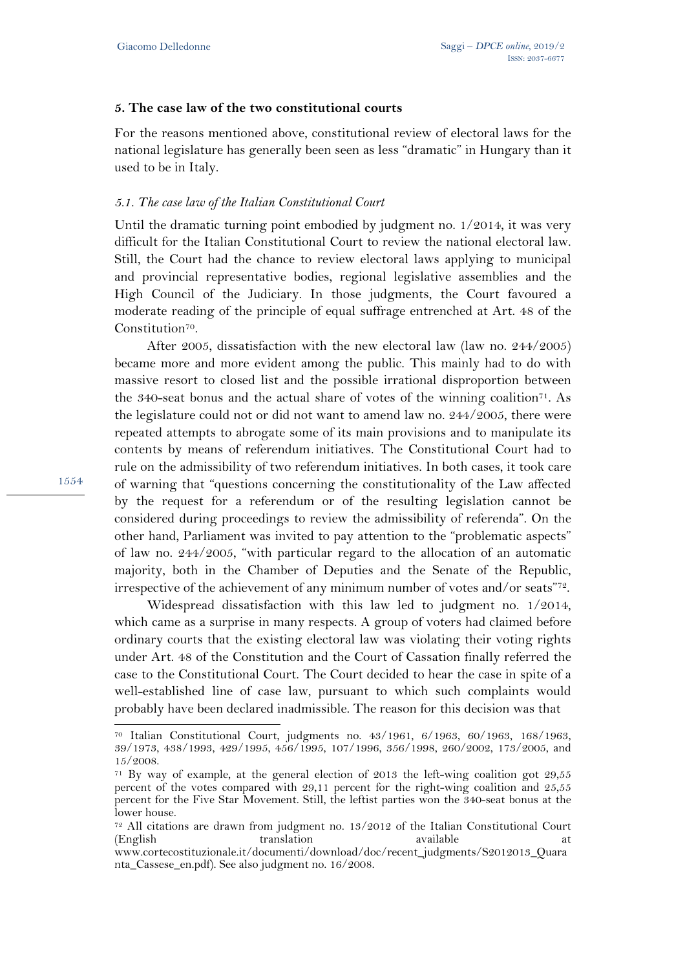### **5. The case law of the two constitutional courts**

For the reasons mentioned above, constitutional review of electoral laws for the national legislature has generally been seen as less "dramatic" in Hungary than it used to be in Italy.

### *5.1. The case law of the Italian Constitutional Court*

Until the dramatic turning point embodied by judgment no. 1/2014, it was very difficult for the Italian Constitutional Court to review the national electoral law. Still, the Court had the chance to review electoral laws applying to municipal and provincial representative bodies, regional legislative assemblies and the High Council of the Judiciary. In those judgments, the Court favoured a moderate reading of the principle of equal suffrage entrenched at Art. 48 of the Constitution<sup>70</sup>.

After 2005, dissatisfaction with the new electoral law (law no. 244/2005) became more and more evident among the public. This mainly had to do with massive resort to closed list and the possible irrational disproportion between the 340-seat bonus and the actual share of votes of the winning coalition<sup> $71$ </sup>. As the legislature could not or did not want to amend law no. 244/2005, there were repeated attempts to abrogate some of its main provisions and to manipulate its contents by means of referendum initiatives. The Constitutional Court had to rule on the admissibility of two referendum initiatives. In both cases, it took care of warning that "questions concerning the constitutionality of the Law affected by the request for a referendum or of the resulting legislation cannot be considered during proceedings to review the admissibility of referenda". On the other hand, Parliament was invited to pay attention to the "problematic aspects" of law no. 244/2005, "with particular regard to the allocation of an automatic majority, both in the Chamber of Deputies and the Senate of the Republic, irrespective of the achievement of any minimum number of votes and/or seats"72.

Widespread dissatisfaction with this law led to judgment no. 1/2014, which came as a surprise in many respects. A group of voters had claimed before ordinary courts that the existing electoral law was violating their voting rights under Art. 48 of the Constitution and the Court of Cassation finally referred the case to the Constitutional Court. The Court decided to hear the case in spite of a well-established line of case law, pursuant to which such complaints would probably have been declared inadmissible. The reason for this decision was that

1554

<sup>70</sup> Italian Constitutional Court, judgments no. 43/1961, 6/1963, 60/1963, 168/1963, 39/1973, 438/1993, 429/1995, 456/1995, 107/1996, 356/1998, 260/2002, 173/2005, and 15/2008.

<sup>71</sup> By way of example, at the general election of 2013 the left-wing coalition got 29,55 percent of the votes compared with 29,11 percent for the right-wing coalition and 25,55 percent for the Five Star Movement. Still, the leftist parties won the 340-seat bonus at the lower house.

<sup>72</sup> All citations are drawn from judgment no. 13/2012 of the Italian Constitutional Court (English translation available at www.cortecostituzionale.it/documenti/download/doc/recent\_judgments/S2012013\_Quara nta\_Cassese\_en.pdf). See also judgment no. 16/2008.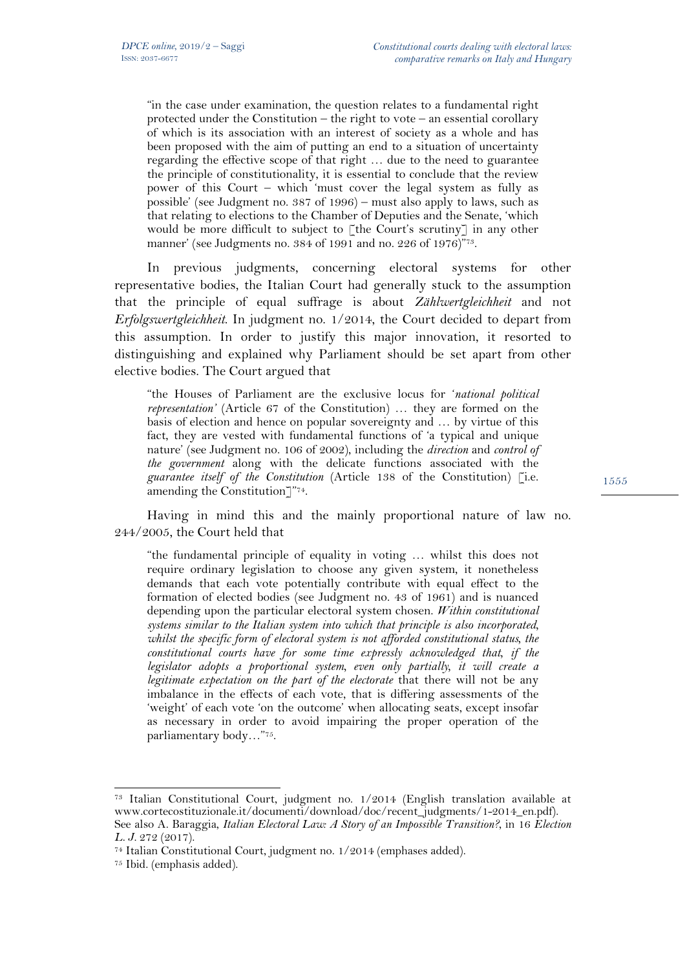"in the case under examination, the question relates to a fundamental right protected under the Constitution – the right to vote – an essential corollary of which is its association with an interest of society as a whole and has been proposed with the aim of putting an end to a situation of uncertainty regarding the effective scope of that right … due to the need to guarantee the principle of constitutionality, it is essential to conclude that the review power of this Court – which 'must cover the legal system as fully as possible' (see Judgment no. 387 of 1996) – must also apply to laws, such as that relating to elections to the Chamber of Deputies and the Senate, 'which would be more difficult to subject to  $\lceil \text{the Court's scrutiny} \rceil$  in any other manner' (see Judgments no. 384 of 1991 and no. 226 of 1976)"73.

In previous judgments, concerning electoral systems for other representative bodies, the Italian Court had generally stuck to the assumption that the principle of equal suffrage is about *Zählwertgleichheit* and not *Erfolgswertgleichheit*. In judgment no. 1/2014, the Court decided to depart from this assumption. In order to justify this major innovation, it resorted to distinguishing and explained why Parliament should be set apart from other elective bodies. The Court argued that

"the Houses of Parliament are the exclusive locus for '*national political representation'* (Article 67 of the Constitution) … they are formed on the basis of election and hence on popular sovereignty and … by virtue of this fact, they are vested with fundamental functions of 'a typical and unique nature' (see Judgment no. 106 of 2002), including the *direction* and *control of the government* along with the delicate functions associated with the *guarantee itself of the Constitution* (Article 138 of the Constitution) [i.e. amending the Constitution]"74.

Having in mind this and the mainly proportional nature of law no. 244/2005, the Court held that

"the fundamental principle of equality in voting … whilst this does not require ordinary legislation to choose any given system, it nonetheless demands that each vote potentially contribute with equal effect to the formation of elected bodies (see Judgment no. 43 of 1961) and is nuanced depending upon the particular electoral system chosen. *Within constitutional systems similar to the Italian system into which that principle is also incorporated, whilst the specific form of electoral system is not afforded constitutional status, the constitutional courts have for some time expressly acknowledged that, if the legislator adopts a proportional system, even only partially, it will create a legitimate expectation on the part of the electorate* that there will not be any imbalance in the effects of each vote, that is differing assessments of the 'weight' of each vote 'on the outcome' when allocating seats, except insofar as necessary in order to avoid impairing the proper operation of the parliamentary body…"75.

<sup>73</sup> Italian Constitutional Court, judgment no. 1/2014 (English translation available at www.cortecostituzionale.it/documenti/download/doc/recent\_judgments/1-2014\_en.pdf). See also A. Baraggia, *Italian Electoral Law: A Story of an Impossible Transition?*, in 16 *Election L. J.* 272 (2017).

 $\overline{a}$ 

<sup>74</sup> Italian Constitutional Court, judgment no. 1/2014 (emphases added).

<sup>75</sup> Ibid. (emphasis added).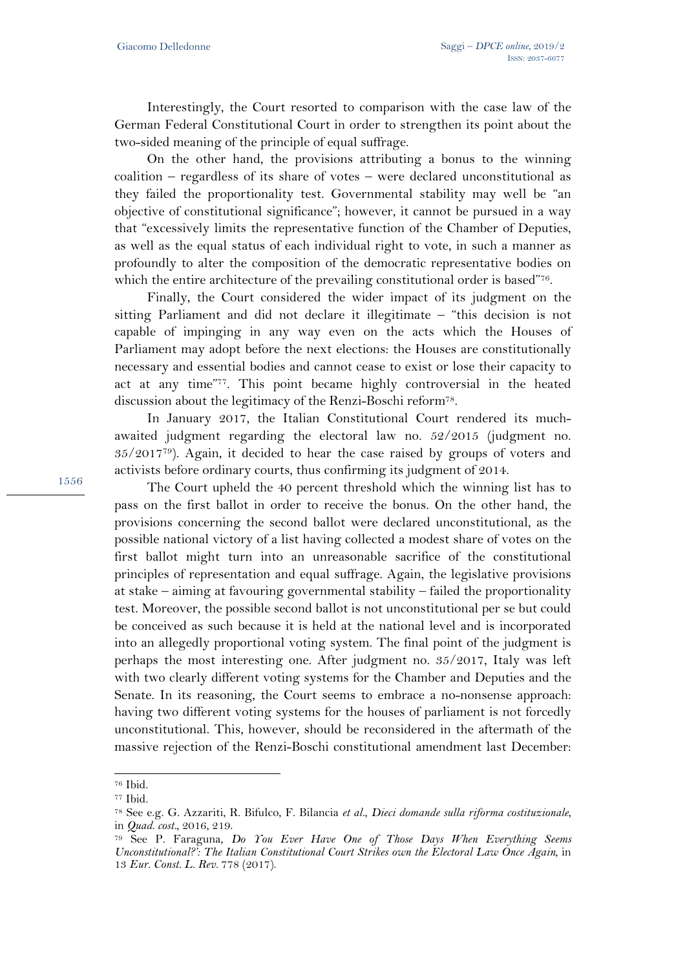Interestingly, the Court resorted to comparison with the case law of the German Federal Constitutional Court in order to strengthen its point about the two-sided meaning of the principle of equal suffrage.

On the other hand, the provisions attributing a bonus to the winning coalition – regardless of its share of votes – were declared unconstitutional as they failed the proportionality test. Governmental stability may well be "an objective of constitutional significance"; however, it cannot be pursued in a way that "excessively limits the representative function of the Chamber of Deputies, as well as the equal status of each individual right to vote, in such a manner as profoundly to alter the composition of the democratic representative bodies on which the entire architecture of the prevailing constitutional order is based"76.

Finally, the Court considered the wider impact of its judgment on the sitting Parliament and did not declare it illegitimate – "this decision is not capable of impinging in any way even on the acts which the Houses of Parliament may adopt before the next elections: the Houses are constitutionally necessary and essential bodies and cannot cease to exist or lose their capacity to act at any time"77. This point became highly controversial in the heated discussion about the legitimacy of the Renzi-Boschi reform78.

In January 2017, the Italian Constitutional Court rendered its muchawaited judgment regarding the electoral law no. 52/2015 (judgment no. 35/201779). Again, it decided to hear the case raised by groups of voters and activists before ordinary courts, thus confirming its judgment of 2014.

The Court upheld the 40 percent threshold which the winning list has to pass on the first ballot in order to receive the bonus. On the other hand, the provisions concerning the second ballot were declared unconstitutional, as the possible national victory of a list having collected a modest share of votes on the first ballot might turn into an unreasonable sacrifice of the constitutional principles of representation and equal suffrage. Again, the legislative provisions at stake – aiming at favouring governmental stability – failed the proportionality test. Moreover, the possible second ballot is not unconstitutional per se but could be conceived as such because it is held at the national level and is incorporated into an allegedly proportional voting system. The final point of the judgment is perhaps the most interesting one. After judgment no. 35/2017, Italy was left with two clearly different voting systems for the Chamber and Deputies and the Senate. In its reasoning, the Court seems to embrace a no-nonsense approach: having two different voting systems for the houses of parliament is not forcedly unconstitutional. This, however, should be reconsidered in the aftermath of the massive rejection of the Renzi-Boschi constitutional amendment last December:

 $\overline{a}$ 

<sup>76</sup> Ibid.

<sup>77</sup> Ibid.

<sup>78</sup> See e.g. G. Azzariti, R. Bifulco, F. Bilancia *et al.*, *Dieci domande sulla riforma costituzionale*, in *Quad. cost.*, 2016, 219.

<sup>79</sup> See P. Faraguna, *Do You Ever Have One of Those Days When Everything Seems Unconstitutional?': The Italian Constitutional Court Strikes own the Electoral Law Once Again*, in 13 *Eur. Const. L. Rev.* 778 (2017).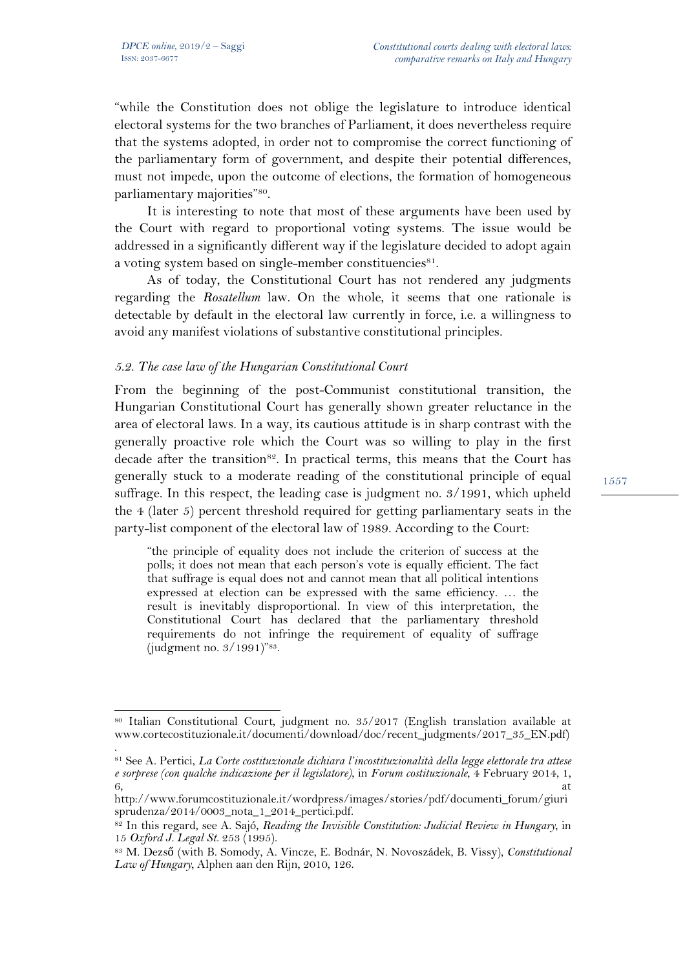$\overline{a}$ 

"while the Constitution does not oblige the legislature to introduce identical electoral systems for the two branches of Parliament, it does nevertheless require that the systems adopted, in order not to compromise the correct functioning of the parliamentary form of government, and despite their potential differences, must not impede, upon the outcome of elections, the formation of homogeneous parliamentary majorities"80.

It is interesting to note that most of these arguments have been used by the Court with regard to proportional voting systems. The issue would be addressed in a significantly different way if the legislature decided to adopt again a voting system based on single-member constituencies<sup>81</sup>.

As of today, the Constitutional Court has not rendered any judgments regarding the *Rosatellum* law. On the whole, it seems that one rationale is detectable by default in the electoral law currently in force, i.e. a willingness to avoid any manifest violations of substantive constitutional principles.

### *5.2. The case law of the Hungarian Constitutional Court*

From the beginning of the post-Communist constitutional transition, the Hungarian Constitutional Court has generally shown greater reluctance in the area of electoral laws. In a way, its cautious attitude is in sharp contrast with the generally proactive role which the Court was so willing to play in the first decade after the transition<sup>82</sup>. In practical terms, this means that the Court has generally stuck to a moderate reading of the constitutional principle of equal suffrage. In this respect, the leading case is judgment no. 3/1991, which upheld the 4 (later 5) percent threshold required for getting parliamentary seats in the party-list component of the electoral law of 1989. According to the Court:

"the principle of equality does not include the criterion of success at the polls; it does not mean that each person's vote is equally efficient. The fact that suffrage is equal does not and cannot mean that all political intentions expressed at election can be expressed with the same efficiency. … the result is inevitably disproportional. In view of this interpretation, the Constitutional Court has declared that the parliamentary threshold requirements do not infringe the requirement of equality of suffrage (judgment no. 3/1991)"83.

<sup>80</sup> Italian Constitutional Court, judgment no. 35/2017 (English translation available at www.cortecostituzionale.it/documenti/download/doc/recent\_judgments/2017\_35\_EN.pdf) .

<sup>81</sup> See A. Pertici, *La Corte costituzionale dichiara l'incostituzionalità della legge elettorale tra attese e sorprese (con qualche indicazione per il legislatore)*, in *Forum costituzionale*, 4 February 2014, 1,  $\sim$  6, at  $\sim$ 

http://www.forumcostituzionale.it/wordpress/images/stories/pdf/documenti\_forum/giuri sprudenza/2014/0003\_nota\_1\_2014\_pertici.pdf.

<sup>82</sup> In this regard, see A. Sajó, *Reading the Invisible Constitution: Judicial Review in Hungary*, in 15 *Oxford J. Legal St.* 253 (1995).

<sup>83</sup> M. Dezső (with B. Somody, A. Vincze, E. Bodnár, N. Novoszádek, B. Vissy), *Constitutional Law of Hungary*, Alphen aan den Rijn, 2010, 126.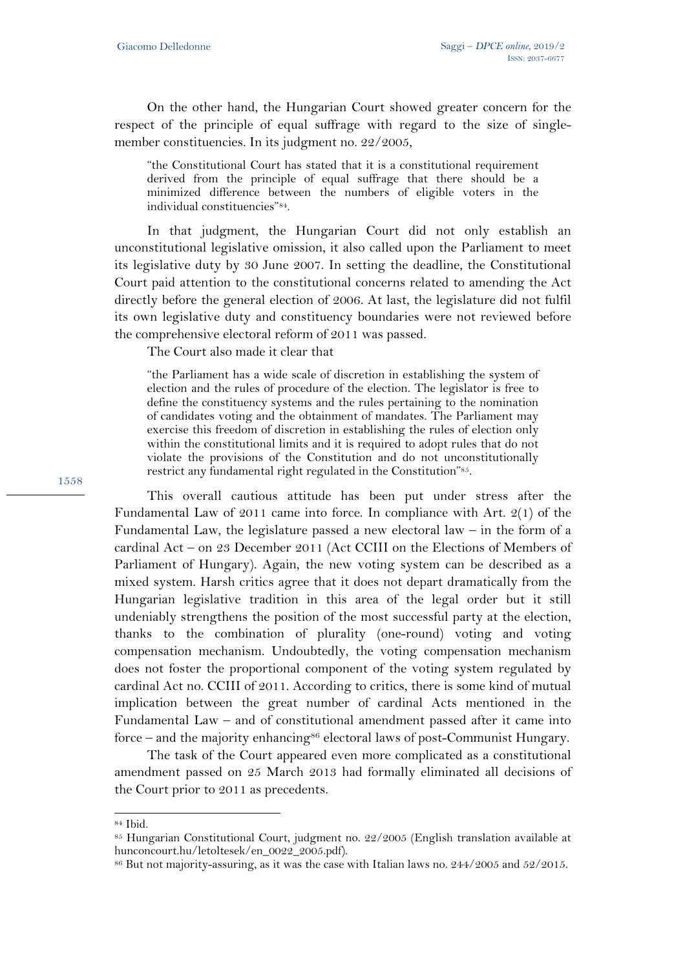On the other hand, the Hungarian Court showed greater concern for the respect of the principle of equal suffrage with regard to the size of singlemember constituencies. In its judgment no. 22/2005,

"the Constitutional Court has stated that it is a constitutional requirement derived from the principle of equal suffrage that there should be a minimized difference between the numbers of eligible voters in the individual constituencies"84.

In that judgment, the Hungarian Court did not only establish an unconstitutional legislative omission, it also called upon the Parliament to meet its legislative duty by 30 June 2007. In setting the deadline, the Constitutional Court paid attention to the constitutional concerns related to amending the Act directly before the general election of 2006. At last, the legislature did not fulfil its own legislative duty and constituency boundaries were not reviewed before the comprehensive electoral reform of 2011 was passed.

The Court also made it clear that

"the Parliament has a wide scale of discretion in establishing the system of election and the rules of procedure of the election. The legislator is free to define the constituency systems and the rules pertaining to the nomination of candidates voting and the obtainment of mandates. The Parliament may exercise this freedom of discretion in establishing the rules of election only within the constitutional limits and it is required to adopt rules that do not violate the provisions of the Constitution and do not unconstitutionally restrict any fundamental right regulated in the Constitution"85.

This overall cautious attitude has been put under stress after the Fundamental Law of 2011 came into force. In compliance with Art. 2(1) of the Fundamental Law, the legislature passed a new electoral law – in the form of a cardinal Act – on 23 December 2011 (Act CCIII on the Elections of Members of Parliament of Hungary). Again, the new voting system can be described as a mixed system. Harsh critics agree that it does not depart dramatically from the Hungarian legislative tradition in this area of the legal order but it still undeniably strengthens the position of the most successful party at the election, thanks to the combination of plurality (one-round) voting and voting compensation mechanism. Undoubtedly, the voting compensation mechanism does not foster the proportional component of the voting system regulated by cardinal Act no. CCIII of 2011. According to critics, there is some kind of mutual implication between the great number of cardinal Acts mentioned in the Fundamental Law – and of constitutional amendment passed after it came into force – and the majority enhancing<sup>86</sup> electoral laws of post-Communist Hungary.

The task of the Court appeared even more complicated as a constitutional amendment passed on 25 March 2013 had formally eliminated all decisions of the Court prior to 2011 as precedents.

l

<sup>84</sup> Ibid.

<sup>85</sup> Hungarian Constitutional Court, judgment no. 22/2005 (English translation available at hunconcourt.hu/letoltesek/en\_0022\_2005.pdf).

 $86$  But not majority-assuring, as it was the case with Italian laws no. 244/2005 and 52/2015.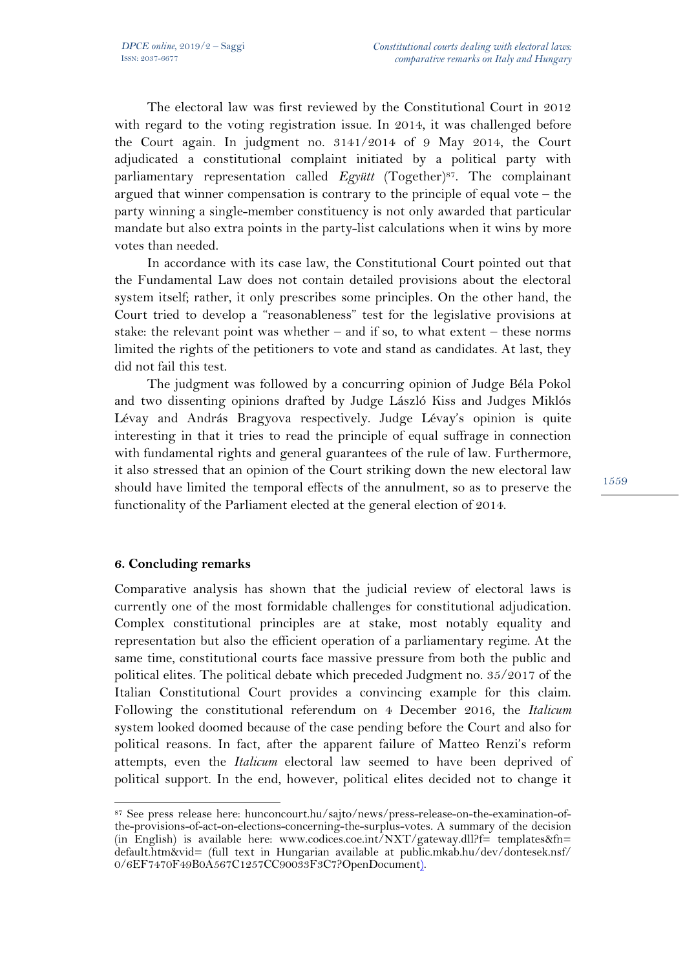The electoral law was first reviewed by the Constitutional Court in 2012 with regard to the voting registration issue. In 2014, it was challenged before the Court again. In judgment no. 3141/2014 of 9 May 2014, the Court adjudicated a constitutional complaint initiated by a political party with parliamentary representation called *Együtt* (Together)87. The complainant argued that winner compensation is contrary to the principle of equal vote – the party winning a single-member constituency is not only awarded that particular mandate but also extra points in the party-list calculations when it wins by more votes than needed.

In accordance with its case law, the Constitutional Court pointed out that the Fundamental Law does not contain detailed provisions about the electoral system itself; rather, it only prescribes some principles. On the other hand, the Court tried to develop a "reasonableness" test for the legislative provisions at stake: the relevant point was whether – and if so, to what extent – these norms limited the rights of the petitioners to vote and stand as candidates. At last, they did not fail this test.

The judgment was followed by a concurring opinion of Judge Béla Pokol and two dissenting opinions drafted by Judge László Kiss and Judges Miklós Lévay and András Bragyova respectively. Judge Lévay's opinion is quite interesting in that it tries to read the principle of equal suffrage in connection with fundamental rights and general guarantees of the rule of law. Furthermore, it also stressed that an opinion of the Court striking down the new electoral law should have limited the temporal effects of the annulment, so as to preserve the functionality of the Parliament elected at the general election of 2014.

### **6. Concluding remarks**

 $\overline{a}$ 

Comparative analysis has shown that the judicial review of electoral laws is currently one of the most formidable challenges for constitutional adjudication. Complex constitutional principles are at stake, most notably equality and representation but also the efficient operation of a parliamentary regime. At the same time, constitutional courts face massive pressure from both the public and political elites. The political debate which preceded Judgment no. 35/2017 of the Italian Constitutional Court provides a convincing example for this claim. Following the constitutional referendum on 4 December 2016, the *Italicum*  system looked doomed because of the case pending before the Court and also for political reasons. In fact, after the apparent failure of Matteo Renzi's reform attempts, even the *Italicum* electoral law seemed to have been deprived of political support. In the end, however, political elites decided not to change it

<sup>87</sup> See press release here: hunconcourt.hu/sajto/news/press-release-on-the-examination-ofthe-provisions-of-act-on-elections-concerning-the-surplus-votes. A summary of the decision (in English) is available here: www.codices.coe.int/NXT/gateway.dll?f= templates&fn= default.htm&vid= (full text in Hungarian available at public.mkab.hu/dev/dontesek.nsf/ 0/6EF7470F49B0A567C1257CC90033F3C7?OpenDocument).